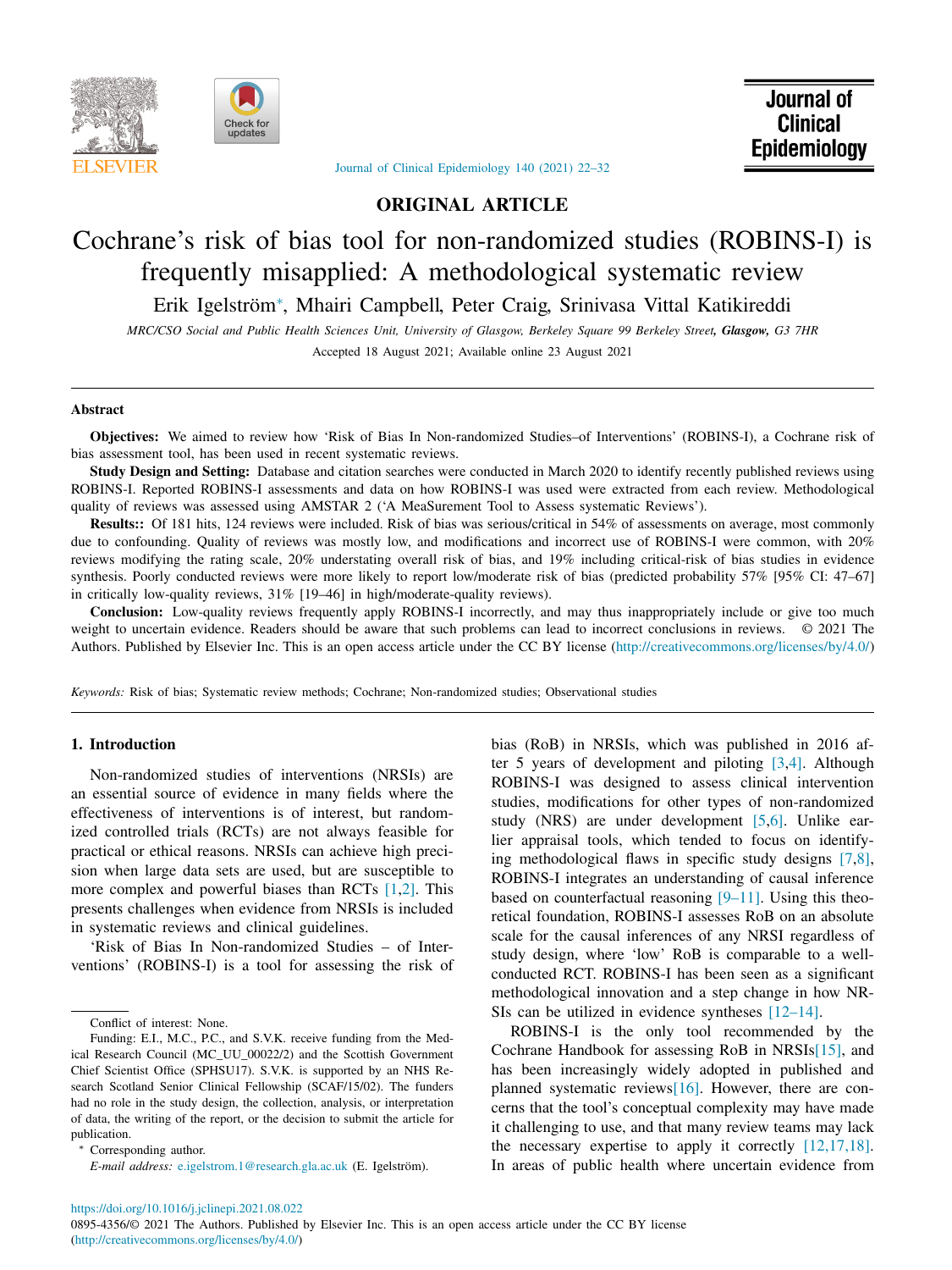



Journal of **Clinical** Epidemiology

# Journal of Clinical [Epidemiology](https://doi.org/10.1016/j.jclinepi.2021.08.022) 140 (2021) 22–32

# **ORIGINAL ARTICLE**

# Cochrane's risk of bias tool for non-randomized studies (ROBINS-I) is frequently misapplied: A methodological systematic review

Erik Igelström<sup>∗</sup> , Mhairi Campbell, Peter Craig, Srinivasa Vittal Katikireddi

MRC/CSO Social and Public Health Sciences Unit, University of Glasgow, Berkeley Square 99 Berkeley Street, Glasgow, G3 7HR Accepted 18 August 2021; Available online 23 August 2021

#### **Abstract**

**Objectives:** We aimed to review how 'Risk of Bias In Non-randomized Studies–of Interventions' (ROBINS-I), a Cochrane risk of bias assessment tool, has been used in recent systematic reviews.

**Study Design and Setting:** Database and citation searches were conducted in March 2020 to identify recently published reviews using ROBINS-I. Reported ROBINS-I assessments and data on how ROBINS-I was used were extracted from each review. Methodological quality of reviews was assessed using AMSTAR 2 ('A MeaSurement Tool to Assess systematic Reviews').

**Results::** Of 181 hits, 124 reviews were included. Risk of bias was serious/critical in 54% of assessments on average, most commonly due to confounding. Quality of reviews was mostly low, and modifications and incorrect use of ROBINS-I were common, with 20% reviews modifying the rating scale, 20% understating overall risk of bias, and 19% including critical-risk of bias studies in evidence synthesis. Poorly conducted reviews were more likely to report low/moderate risk of bias (predicted probability 57% [95% CI: 47–67] in critically low-quality reviews, 31% [19–46] in high/moderate-quality reviews).

**Conclusion:** Low-quality reviews frequently apply ROBINS-I incorrectly, and may thus inappropriately include or give too much weight to uncertain evidence. Readers should be aware that such problems can lead to incorrect conclusions in reviews. © 2021 The Authors. Published by Elsevier Inc. This is an open access article under the CC BY license [\(http://creativecommons.org/licenses/by/4.0/\)](http://creativecommons.org/licenses/by/4.0/)

*Keywords:* Risk of bias; Systematic review methods; Cochrane; Non-randomized studies; Observational studies

# **1. Introduction**

Non-randomized studies of interventions (NRSIs) are an essential source of evidence in many fields where the effectiveness of interventions is of interest, but randomized controlled trials (RCTs) are not always feasible for practical or ethical reasons. NRSIs can achieve high precision when large data sets are used, but are susceptible to more complex and powerful biases than RCTs [\[1,2\].](#page-8-0) This presents challenges when evidence from NRSIs is included in systematic reviews and clinical guidelines.

'Risk of Bias In Non-randomized Studies – of Interventions' (ROBINS-I) is a tool for assessing the risk of

Corresponding author.

*E-mail address:* [e.igelstrom.1@research.gla.ac.uk](mailto:e.igelstrom.1@research.gla.ac.uk) (E. Igelström).

bias (RoB) in NRSIs, which was published in 2016 after 5 years of development and piloting [\[3,4\].](#page-8-0) Although ROBINS-I was designed to assess clinical intervention studies, modifications for other types of non-randomized study (NRS) are under development [\[5,6\].](#page-8-0) Unlike earlier appraisal tools, which tended to focus on identifying methodological flaws in specific study designs [\[7,8\],](#page-8-0) ROBINS-I integrates an understanding of causal inference based on counterfactual reasoning  $[9-11]$ . Using this theoretical foundation, ROBINS-I assesses RoB on an absolute scale for the causal inferences of any NRSI regardless of study design, where 'low' RoB is comparable to a wellconducted RCT. ROBINS-I has been seen as a significant methodological innovation and a step change in how NR-SIs can be utilized in evidence syntheses [\[12–14\].](#page-8-0)

ROBINS-I is the only tool recommended by the Cochrane Handbook for assessing RoB in NRSI[s\[15\],](#page-9-0) and has been increasingly widely adopted in published and planned systematic review[s\[16\].](#page-9-0) However, there are concerns that the tool's conceptual complexity may have made it challenging to use, and that many review teams may lack the necessary expertise to apply it correctly  $[12,17,18]$ . In areas of public health where uncertain evidence from

<https://doi.org/10.1016/j.jclinepi.2021.08.022>

Conflict of interest: None.

Funding: E.I., M.C., P.C., and S.V.K. receive funding from the Medical Research Council (MC\_UU\_00022/2) and the Scottish Government Chief Scientist Office (SPHSU17). S.V.K. is supported by an NHS Research Scotland Senior Clinical Fellowship (SCAF/15/02). The funders had no role in the study design, the collection, analysis, or interpretation of data, the writing of the report, or the decision to submit the article for publication.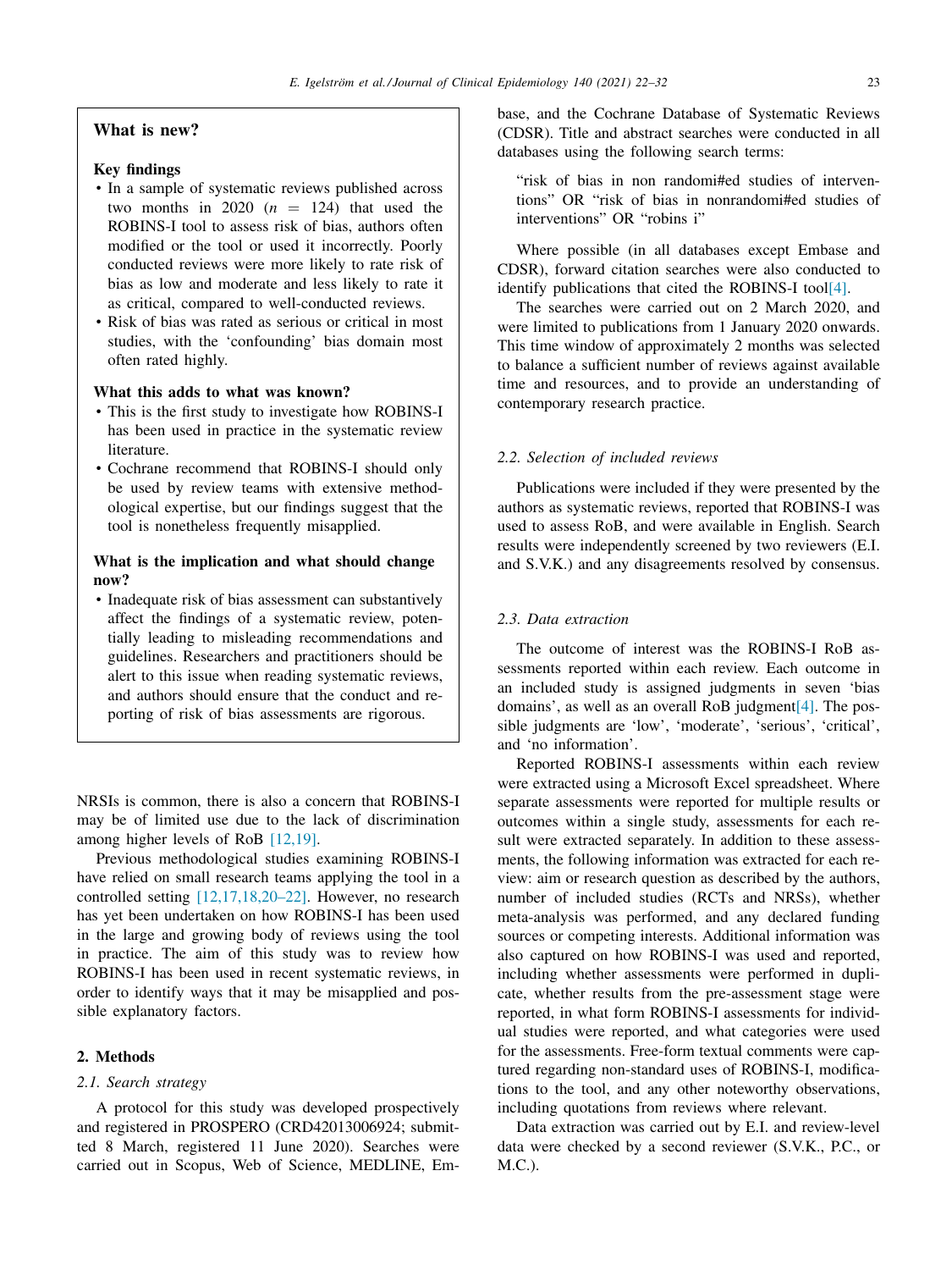# **What is new?**

# **Key findings**

- In a sample of systematic reviews published across two months in 2020  $(n = 124)$  that used the ROBINS-I tool to assess risk of bias, authors often modified or the tool or used it incorrectly. Poorly conducted reviews were more likely to rate risk of bias as low and moderate and less likely to rate it as critical, compared to well-conducted reviews.
- Risk of bias was rated as serious or critical in most studies, with the 'confounding' bias domain most often rated highly.

# **What this adds to what was known?**

- This is the first study to investigate how ROBINS-I has been used in practice in the systematic review literature.
- Cochrane recommend that ROBINS-I should only be used by review teams with extensive methodological expertise, but our findings suggest that the tool is nonetheless frequently misapplied.

# **What is the implication and what should change now?**

• Inadequate risk of bias assessment can substantively affect the findings of a systematic review, potentially leading to misleading recommendations and guidelines. Researchers and practitioners should be alert to this issue when reading systematic reviews, and authors should ensure that the conduct and reporting of risk of bias assessments are rigorous.

NRSIs is common, there is also a concern that ROBINS-I may be of limited use due to the lack of discrimination among higher levels of RoB [\[12,19\].](#page-8-0)

Previous methodological studies examining ROBINS-I have relied on small research teams applying the tool in a controlled setting [\[12,17,18,20–22\].](#page-8-0) However, no research has yet been undertaken on how ROBINS-I has been used in the large and growing body of reviews using the tool in practice. The aim of this study was to review how ROBINS-I has been used in recent systematic reviews, in order to identify ways that it may be misapplied and possible explanatory factors.

# **2. Methods**

### *2.1. Search strategy*

A protocol for this study was developed prospectively and registered in PROSPERO (CRD42013006924; submitted 8 March, registered 11 June 2020). Searches were carried out in Scopus, Web of Science, MEDLINE, Embase, and the Cochrane Database of Systematic Reviews (CDSR). Title and abstract searches were conducted in all databases using the following search terms:

"risk of bias in non randomi#ed studies of interventions" OR "risk of bias in nonrandomi#ed studies of interventions" OR "robins i"

Where possible (in all databases except Embase and CDSR), forward citation searches were also conducted to identify publications that cited the ROBINS-I too[l\[4\].](#page-8-0)

The searches were carried out on 2 March 2020, and were limited to publications from 1 January 2020 onwards. This time window of approximately 2 months was selected to balance a sufficient number of reviews against available time and resources, and to provide an understanding of contemporary research practice.

# *2.2. Selection of included reviews*

Publications were included if they were presented by the authors as systematic reviews, reported that ROBINS-I was used to assess RoB, and were available in English. Search results were independently screened by two reviewers (E.I. and S.V.K.) and any disagreements resolved by consensus.

# *2.3. Data extraction*

The outcome of interest was the ROBINS-I RoB assessments reported within each review. Each outcome in an included study is assigned judgments in seven 'bias domains', as well as an overall RoB judgmen[t\[4\].](#page-8-0) The possible judgments are 'low', 'moderate', 'serious', 'critical', and 'no information'.

Reported ROBINS-I assessments within each review were extracted using a Microsoft Excel spreadsheet. Where separate assessments were reported for multiple results or outcomes within a single study, assessments for each result were extracted separately. In addition to these assessments, the following information was extracted for each review: aim or research question as described by the authors, number of included studies (RCTs and NRSs), whether meta-analysis was performed, and any declared funding sources or competing interests. Additional information was also captured on how ROBINS-I was used and reported, including whether assessments were performed in duplicate, whether results from the pre-assessment stage were reported, in what form ROBINS-I assessments for individual studies were reported, and what categories were used for the assessments. Free-form textual comments were captured regarding non-standard uses of ROBINS-I, modifications to the tool, and any other noteworthy observations, including quotations from reviews where relevant.

Data extraction was carried out by E.I. and review-level data were checked by a second reviewer (S.V.K., P.C., or  $M.C.$ ).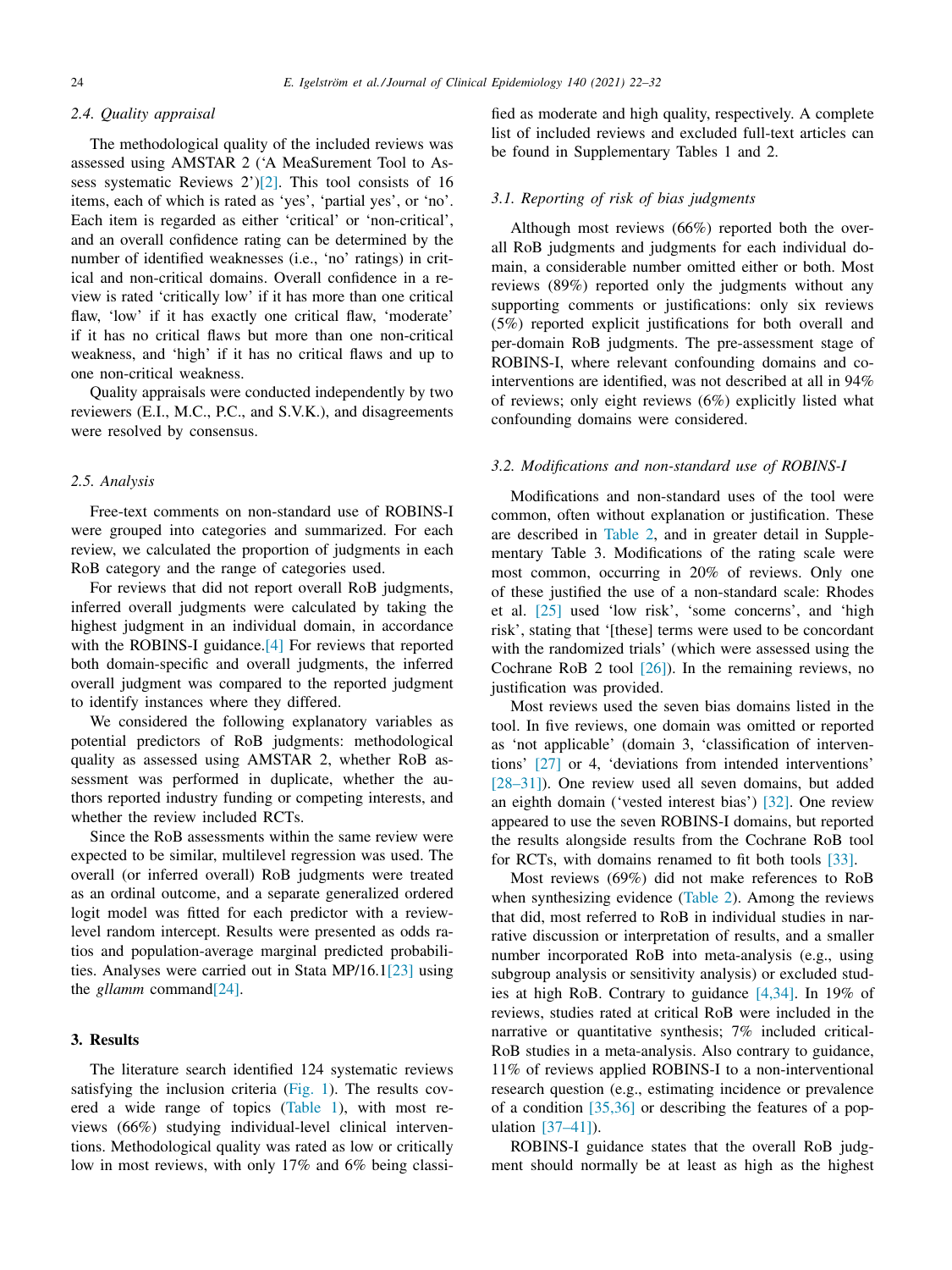#### *2.4. Quality appraisal*

The methodological quality of the included reviews was assessed using AMSTAR 2 ('A MeaSurement Tool to Assess systematic Reviews 2'[\)\[2\].](#page-8-0) This tool consists of 16 items, each of which is rated as 'yes', 'partial yes', or 'no'. Each item is regarded as either 'critical' or 'non-critical', and an overall confidence rating can be determined by the number of identified weaknesses (i.e., 'no' ratings) in critical and non-critical domains. Overall confidence in a review is rated 'critically low' if it has more than one critical flaw, 'low' if it has exactly one critical flaw, 'moderate' if it has no critical flaws but more than one non-critical weakness, and 'high' if it has no critical flaws and up to one non-critical weakness.

Quality appraisals were conducted independently by two reviewers (E.I., M.C., P.C., and S.V.K.), and disagreements were resolved by consensus.

# *2.5. Analysis*

Free-text comments on non-standard use of ROBINS-I were grouped into categories and summarized. For each review, we calculated the proportion of judgments in each RoB category and the range of categories used.

For reviews that did not report overall RoB judgments, inferred overall judgments were calculated by taking the highest judgment in an individual domain, in accordance with the ROBINS-I guidance.<sup>[4]</sup> For reviews that reported both domain-specific and overall judgments, the inferred overall judgment was compared to the reported judgment to identify instances where they differed.

We considered the following explanatory variables as potential predictors of RoB judgments: methodological quality as assessed using AMSTAR 2, whether RoB assessment was performed in duplicate, whether the authors reported industry funding or competing interests, and whether the review included RCTs.

Since the RoB assessments within the same review were expected to be similar, multilevel regression was used. The overall (or inferred overall) RoB judgments were treated as an ordinal outcome, and a separate generalized ordered logit model was fitted for each predictor with a reviewlevel random intercept. Results were presented as odds ratios and population-average marginal predicted probabilities. Analyses were carried out in Stata MP/16.[1\[23\]](#page-9-0) using the *gllamm* comman[d\[24\].](#page-9-0)

# **3. Results**

The literature search identified 124 systematic reviews satisfying the inclusion criteria [\(Fig.](#page-3-0) 1). The results covered a wide range of topics [\(Table](#page-4-0) 1), with most reviews (66%) studying individual-level clinical interventions. Methodological quality was rated as low or critically low in most reviews, with only 17% and 6% being classified as moderate and high quality, respectively. A complete list of included reviews and excluded full-text articles can be found in Supplementary Tables 1 and 2.

# *3.1. Reporting of risk of bias judgments*

Although most reviews (66%) reported both the overall RoB judgments and judgments for each individual domain, a considerable number omitted either or both. Most reviews (89%) reported only the judgments without any supporting comments or justifications: only six reviews (5%) reported explicit justifications for both overall and per-domain RoB judgments. The pre-assessment stage of ROBINS-I, where relevant confounding domains and cointerventions are identified, was not described at all in 94% of reviews; only eight reviews (6%) explicitly listed what confounding domains were considered.

# *3.2. Modifications and non-standard use of ROBINS-I*

Modifications and non-standard uses of the tool were common, often without explanation or justification. These are described in [Table](#page-5-0) 2, and in greater detail in Supplementary Table 3. Modifications of the rating scale were most common, occurring in 20% of reviews. Only one of these justified the use of a non-standard scale: Rhodes et al. [\[25\]](#page-9-0) used 'low risk', 'some concerns', and 'high risk', stating that '[these] terms were used to be concordant with the randomized trials' (which were assessed using the Cochrane RoB 2 tool [\[26\]\)](#page-9-0). In the remaining reviews, no justification was provided.

Most reviews used the seven bias domains listed in the tool. In five reviews, one domain was omitted or reported as 'not applicable' (domain 3, 'classification of interventions' [\[27\]](#page-9-0) or 4, 'deviations from intended interventions' [\[28–31\]\)](#page-9-0). One review used all seven domains, but added an eighth domain ('vested interest bias') [\[32\].](#page-9-0) One review appeared to use the seven ROBINS-I domains, but reported the results alongside results from the Cochrane RoB tool for RCTs, with domains renamed to fit both tools [\[33\].](#page-9-0)

Most reviews (69%) did not make references to RoB when synthesizing evidence [\(Table](#page-5-0) 2). Among the reviews that did, most referred to RoB in individual studies in narrative discussion or interpretation of results, and a smaller number incorporated RoB into meta-analysis (e.g., using subgroup analysis or sensitivity analysis) or excluded studies at high RoB. Contrary to guidance [\[4,34\].](#page-8-0) In 19% of reviews, studies rated at critical RoB were included in the narrative or quantitative synthesis; 7% included critical-RoB studies in a meta-analysis. Also contrary to guidance, 11% of reviews applied ROBINS-I to a non-interventional research question (e.g., estimating incidence or prevalence of a condition [\[35,36\]](#page-9-0) or describing the features of a population [\[37–41\]\)](#page-9-0).

ROBINS-I guidance states that the overall RoB judgment should normally be at least as high as the highest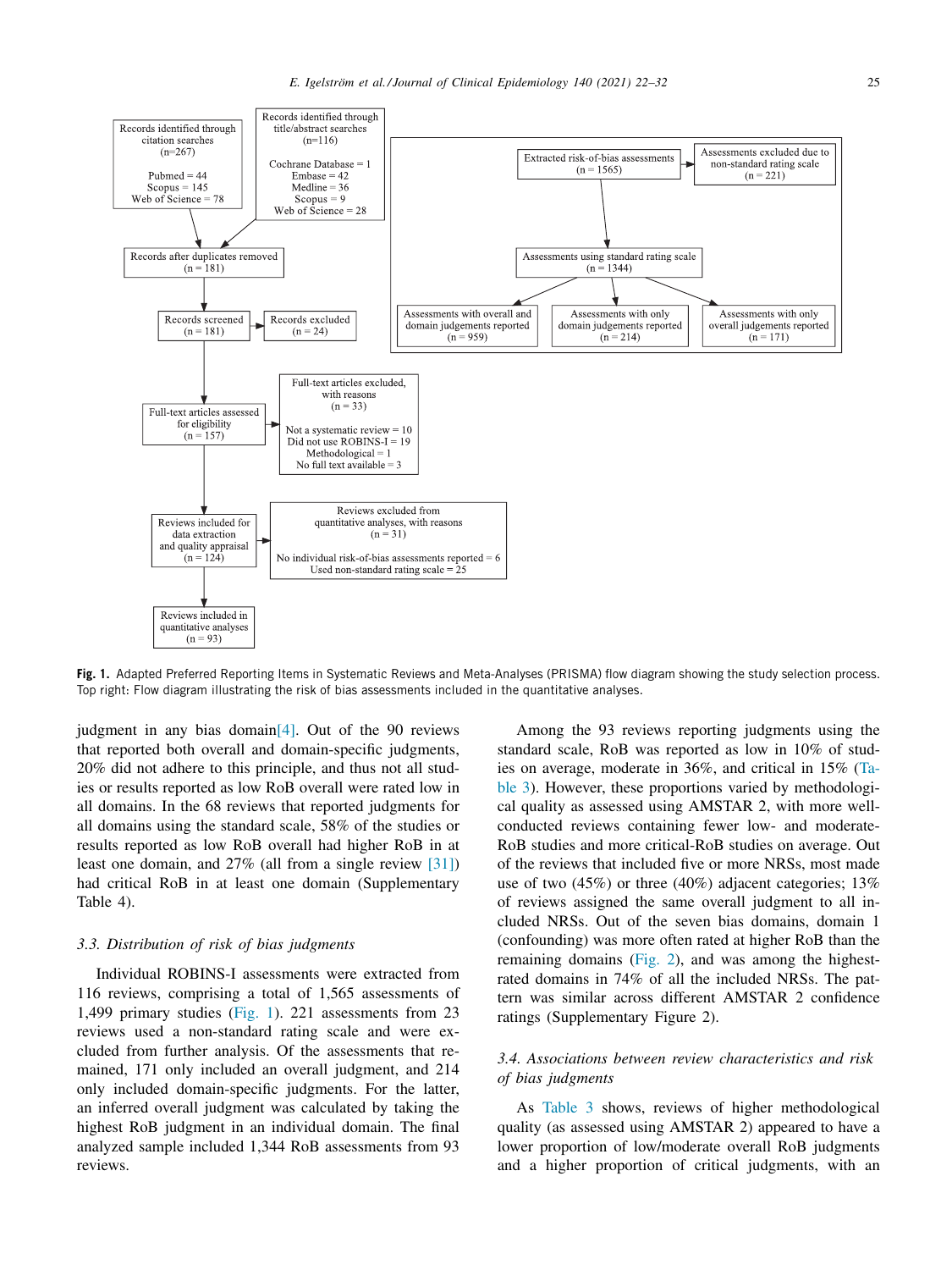<span id="page-3-0"></span>

**Fig. 1.** Adapted Preferred Reporting Items in Systematic Reviews and Meta-Analyses (PRISMA) flow diagram showing the study selection process. Top right: Flow diagram illustrating the risk of bias assessments included in the quantitative analyses.

judgment in any bias domai[n\[4\].](#page-8-0) Out of the 90 reviews that reported both overall and domain-specific judgments, 20% did not adhere to this principle, and thus not all studies or results reported as low RoB overall were rated low in all domains. In the 68 reviews that reported judgments for all domains using the standard scale, 58% of the studies or results reported as low RoB overall had higher RoB in at least one domain, and 27% (all from a single review [\[31\]\)](#page-9-0) had critical RoB in at least one domain (Supplementary Table 4).

# *3.3. Distribution of risk of bias judgments*

Individual ROBINS-I assessments were extracted from 116 reviews, comprising a total of 1,565 assessments of 1,499 primary studies (Fig. 1). 221 assessments from 23 reviews used a non-standard rating scale and were excluded from further analysis. Of the assessments that remained, 171 only included an overall judgment, and 214 only included domain-specific judgments. For the latter, an inferred overall judgment was calculated by taking the highest RoB judgment in an individual domain. The final analyzed sample included 1,344 RoB assessments from 93 reviews.

Among the 93 reviews reporting judgments using the standard scale, RoB was reported as low in 10% of studies on average, moderate in 36%, and critical in 15% (Table 3). However, these proportions varied by [methodologi](#page-6-0)cal quality as assessed using AMSTAR 2, with more wellconducted reviews containing fewer low- and moderate-RoB studies and more critical-RoB studies on average. Out of the reviews that included five or more NRSs, most made use of two (45%) or three (40%) adjacent categories; 13% of reviews assigned the same overall judgment to all included NRSs. Out of the seven bias domains, domain 1 (confounding) was more often rated at higher RoB than the remaining domains [\(Fig.](#page-6-0) 2), and was among the highestrated domains in 74% of all the included NRSs. The pattern was similar across different AMSTAR 2 confidence ratings (Supplementary Figure 2).

# *3.4. Associations between review characteristics and risk of bias judgments*

As [Table](#page-6-0) 3 shows, reviews of higher methodological quality (as assessed using AMSTAR 2) appeared to have a lower proportion of low/moderate overall RoB judgments and a higher proportion of critical judgments, with an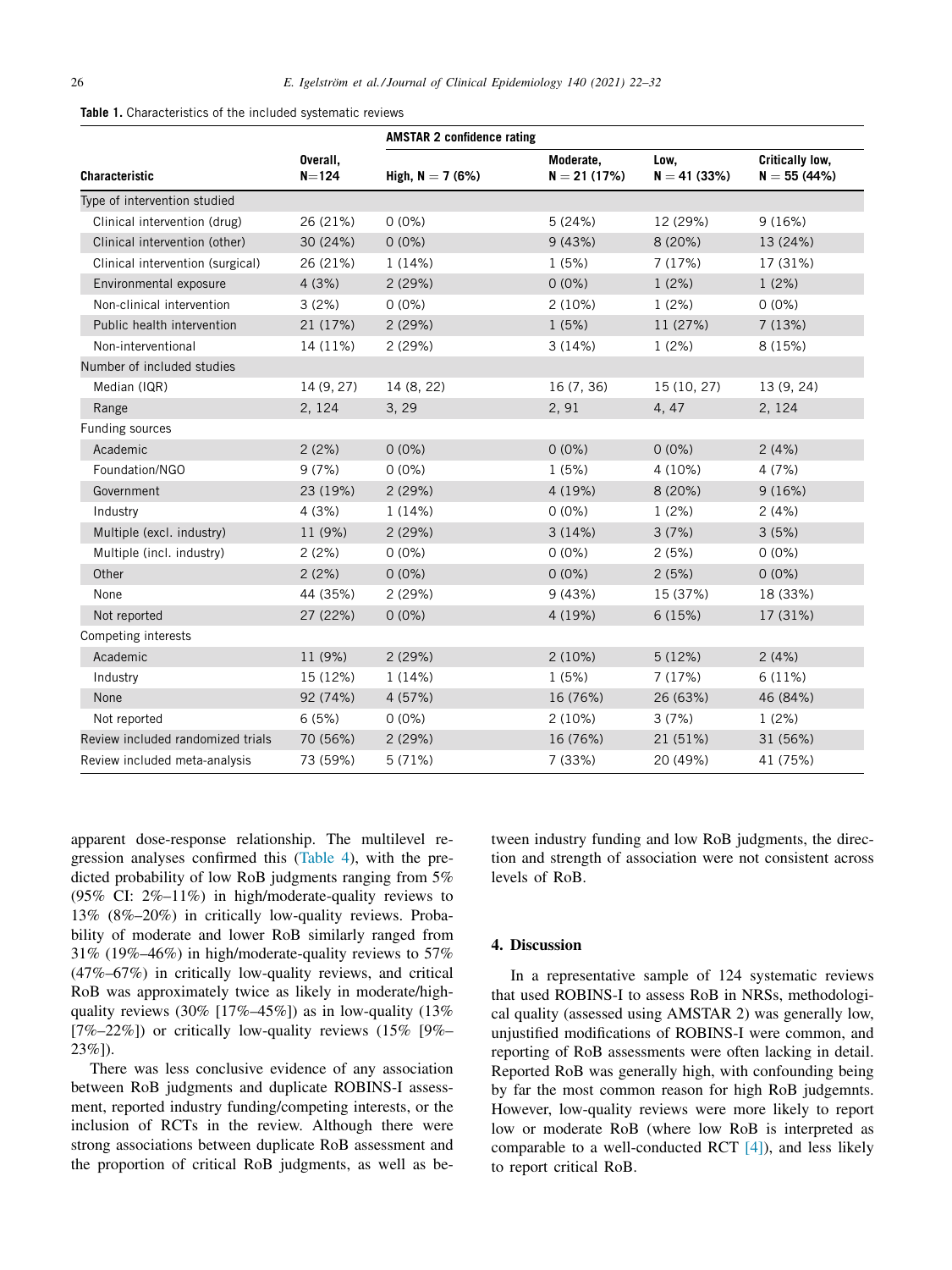<span id="page-4-0"></span>

| <b>Table 1.</b> Characteristics of the included systematic reviews |  |
|--------------------------------------------------------------------|--|
|--------------------------------------------------------------------|--|

|                                   |                       | <b>AMSTAR 2 confidence rating</b> |                            |                       |                                  |
|-----------------------------------|-----------------------|-----------------------------------|----------------------------|-----------------------|----------------------------------|
| Characteristic                    | Overall,<br>$N = 124$ | High, $N = 7(6%)$                 | Moderate,<br>$N = 21(17%)$ | Low,<br>$N = 41(33%)$ | Critically low,<br>$N = 55(44%)$ |
| Type of intervention studied      |                       |                                   |                            |                       |                                  |
| Clinical intervention (drug)      | 26 (21%)              | $0(0\%)$                          | 5(24%)                     | 12 (29%)              | 9(16%)                           |
| Clinical intervention (other)     | 30 (24%)              | $0(0\%)$                          | 9(43%)                     | 8(20%)                | 13 (24%)                         |
| Clinical intervention (surgical)  | 26 (21%)              | 1(14%)                            | 1(5%)                      | 7(17%)                | 17 (31%)                         |
| Environmental exposure            | 4(3%)                 | 2(29%)                            | $0(0\%)$                   | 1(2%)                 | 1(2%)                            |
| Non-clinical intervention         | 3(2%)                 | $0(0\%)$                          | 2(10%)                     | 1(2%)                 | $0(0\%)$                         |
| Public health intervention        | 21 (17%)              | 2(29%)                            | 1(5%)                      | 11 (27%)              | 7(13%)                           |
| Non-interventional                | 14 (11%)              | 2(29%)                            | 3(14%)                     | 1(2%)                 | 8 (15%)                          |
| Number of included studies        |                       |                                   |                            |                       |                                  |
| Median (IQR)                      | 14 (9, 27)            | 14 (8, 22)                        | 16(7, 36)                  | 15 (10, 27)           | 13 (9, 24)                       |
| Range                             | 2, 124                | 3, 29                             | 2, 91                      | 4, 47                 | 2, 124                           |
| Funding sources                   |                       |                                   |                            |                       |                                  |
| Academic                          | 2(2%)                 | $0(0\%)$                          | $0(0\%)$                   | $0(0\%)$              | 2(4%)                            |
| Foundation/NGO                    | 9(7%)                 | $0(0\%)$                          | 1(5%)                      | 4 (10%)               | 4(7%)                            |
| Government                        | 23 (19%)              | 2(29%)                            | 4 (19%)                    | 8(20%)                | 9(16%)                           |
| Industry                          | 4(3%)                 | 1(14%)                            | $0(0\%)$                   | 1(2%)                 | 2(4%)                            |
| Multiple (excl. industry)         | 11 (9%)               | 2(29%)                            | 3(14%)                     | 3(7%)                 | 3(5%)                            |
| Multiple (incl. industry)         | 2(2%)                 | $0(0\%)$                          | $0(0\%)$                   | 2(5%)                 | $0(0\%)$                         |
| Other                             | 2(2%)                 | $0(0\%)$                          | $0(0\%)$                   | 2(5%)                 | $0(0\%)$                         |
| None                              | 44 (35%)              | 2(29%)                            | 9(43%)                     | 15 (37%)              | 18 (33%)                         |
| Not reported                      | 27 (22%)              | $0(0\%)$                          | 4 (19%)                    | 6(15%)                | 17 (31%)                         |
| Competing interests               |                       |                                   |                            |                       |                                  |
| Academic                          | 11 (9%)               | 2(29%)                            | 2(10%)                     | 5(12%)                | 2(4%)                            |
| Industry                          | 15 (12%)              | 1(14%)                            | 1(5%)                      | 7(17%)                | 6(11%)                           |
| None                              | 92 (74%)              | 4 (57%)                           | 16 (76%)                   | 26 (63%)              | 46 (84%)                         |
| Not reported                      | 6(5%)                 | $0(0\%)$                          | 2(10%)                     | 3(7%)                 | 1(2%)                            |
| Review included randomized trials | 70 (56%)              | 2(29%)                            | 16 (76%)                   | 21 (51%)              | 31 (56%)                         |
| Review included meta-analysis     | 73 (59%)              | 5(71%)                            | 7(33%)                     | 20 (49%)              | 41 (75%)                         |

apparent dose-response relationship. The multilevel regression analyses confirmed this [\(Table](#page-7-0) 4), with the predicted probability of low RoB judgments ranging from 5% (95% CI: 2%–11%) in high/moderate-quality reviews to 13% (8%–20%) in critically low-quality reviews. Probability of moderate and lower RoB similarly ranged from 31% (19%–46%) in high/moderate-quality reviews to 57% (47%–67%) in critically low-quality reviews, and critical RoB was approximately twice as likely in moderate/highquality reviews  $(30\% \t17\% - 45\%)$  as in low-quality  $(13\%$  $[7\%-22\%]$ ) or critically low-quality reviews  $(15\%$   $[9\%-10\%]$ 23%]).

There was less conclusive evidence of any association between RoB judgments and duplicate ROBINS-I assessment, reported industry funding/competing interests, or the inclusion of RCTs in the review. Although there were strong associations between duplicate RoB assessment and the proportion of critical RoB judgments, as well as between industry funding and low RoB judgments, the direction and strength of association were not consistent across levels of RoB.

# **4. Discussion**

In a representative sample of 124 systematic reviews that used ROBINS-I to assess RoB in NRSs, methodological quality (assessed using AMSTAR 2) was generally low, unjustified modifications of ROBINS-I were common, and reporting of RoB assessments were often lacking in detail. Reported RoB was generally high, with confounding being by far the most common reason for high RoB judgemnts. However, low-quality reviews were more likely to report low or moderate RoB (where low RoB is interpreted as comparable to a well-conducted RCT [\[4\]\)](#page-8-0), and less likely to report critical RoB.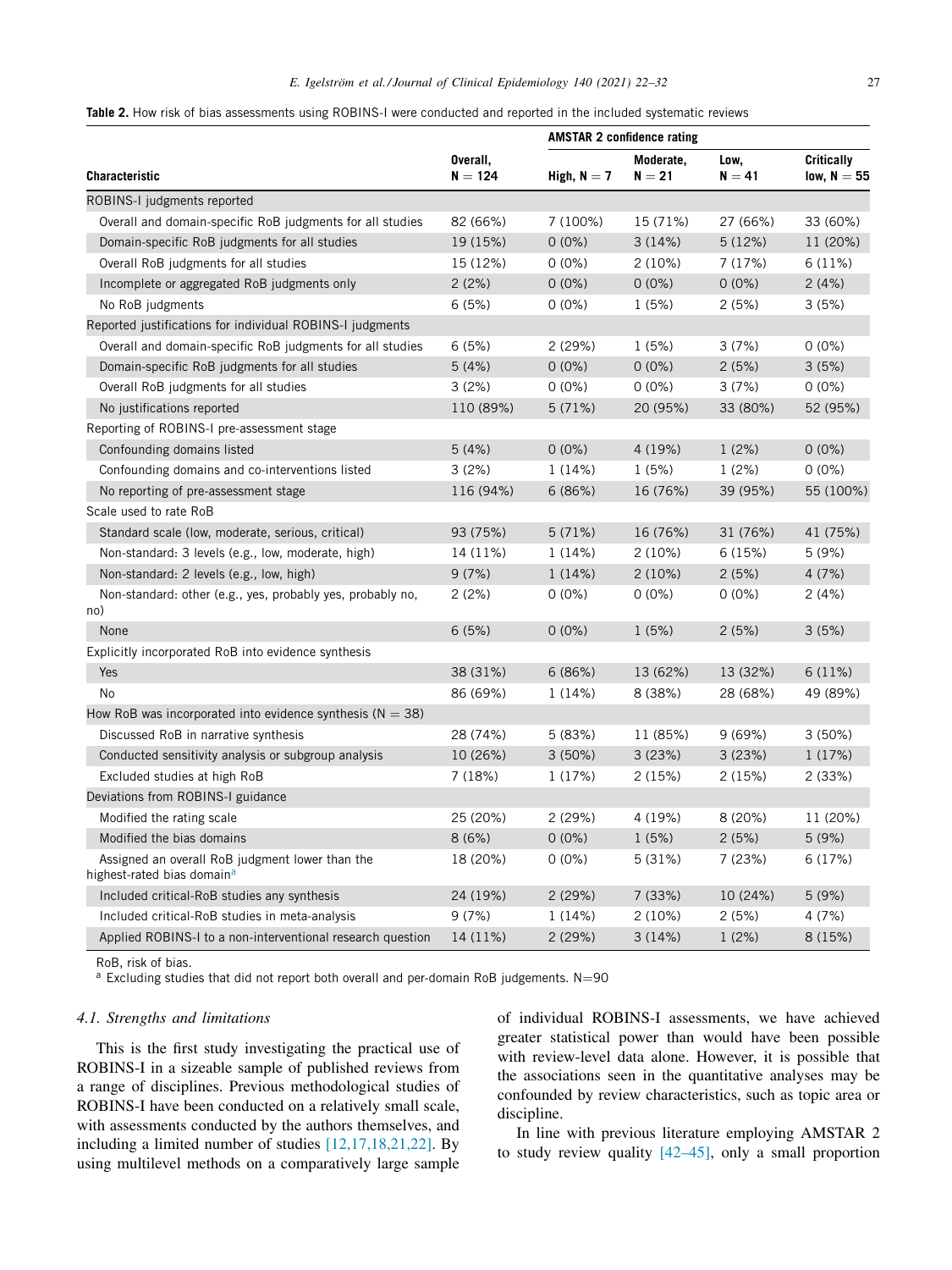<span id="page-5-0"></span>

|  |  |  |  |  |  | <b>Table 2.</b> How risk of bias assessments using ROBINS-I were conducted and reported in the included systematic reviews |
|--|--|--|--|--|--|----------------------------------------------------------------------------------------------------------------------------|
|--|--|--|--|--|--|----------------------------------------------------------------------------------------------------------------------------|

|                                                                                           |                       | <b>AMSTAR 2 confidence rating</b> |                       |                  |                                    |  |
|-------------------------------------------------------------------------------------------|-----------------------|-----------------------------------|-----------------------|------------------|------------------------------------|--|
| <b>Characteristic</b>                                                                     | Overall,<br>$N = 124$ | High, $N = 7$                     | Moderate,<br>$N = 21$ | Low,<br>$N = 41$ | <b>Critically</b><br>low, $N = 55$ |  |
| ROBINS-I judgments reported                                                               |                       |                                   |                       |                  |                                    |  |
| Overall and domain-specific RoB judgments for all studies                                 | 82 (66%)              | 7 (100%)                          | 15 (71%)              | 27 (66%)         | 33 (60%)                           |  |
| Domain-specific RoB judgments for all studies                                             | 19 (15%)              | $0(0\%)$                          | 3(14%)                | 5(12%)           | 11 (20%)                           |  |
| Overall RoB judgments for all studies                                                     | 15 (12%)              | $0(0\%)$                          | $2(10\%)$             | 7 (17%)          | 6(11%)                             |  |
| Incomplete or aggregated RoB judgments only                                               | 2(2%)                 | $0(0\%)$                          | $0(0\%)$              | $0(0\%)$         | 2(4%)                              |  |
| No RoB judgments                                                                          | 6(5%)                 | $0(0\%)$                          | 1(5%)                 | 2(5%)            | 3(5%)                              |  |
| Reported justifications for individual ROBINS-I judgments                                 |                       |                                   |                       |                  |                                    |  |
| Overall and domain-specific RoB judgments for all studies                                 | 6(5%)                 | 2(29%)                            | 1(5%)                 | 3(7%)            | $0(0\%)$                           |  |
| Domain-specific RoB judgments for all studies                                             | 5(4%)                 | $0(0\%)$                          | $0(0\%)$              | 2(5%)            | 3(5%)                              |  |
| Overall RoB judgments for all studies                                                     | 3(2%)                 | $0(0\%)$                          | $0(0\%)$              | 3(7%)            | $0(0\%)$                           |  |
| No justifications reported                                                                | 110 (89%)             | 5(71%)                            | 20 (95%)              | 33 (80%)         | 52 (95%)                           |  |
| Reporting of ROBINS-I pre-assessment stage                                                |                       |                                   |                       |                  |                                    |  |
| Confounding domains listed                                                                | 5(4%)                 | $0(0\%)$                          | 4 (19%)               | 1(2%)            | $0(0\%)$                           |  |
| Confounding domains and co-interventions listed                                           | 3(2%)                 | 1(14%)                            | 1(5%)                 | 1(2%)            | $0(0\%)$                           |  |
| No reporting of pre-assessment stage                                                      | 116 (94%)             | 6(86%)                            | 16 (76%)              | 39 (95%)         | 55 (100%)                          |  |
| Scale used to rate RoB                                                                    |                       |                                   |                       |                  |                                    |  |
| Standard scale (low, moderate, serious, critical)                                         | 93 (75%)              | 5(71%)                            | 16 (76%)              | 31 (76%)         | 41 (75%)                           |  |
| Non-standard: 3 levels (e.g., low, moderate, high)                                        | 14 (11%)              | 1(14%)                            | 2(10%)                | 6(15%)           | 5(9%)                              |  |
| Non-standard: 2 levels (e.g., low, high)                                                  | 9(7%)                 | 1(14%)                            | $2(10\%)$             | 2(5%)            | 4(7%)                              |  |
| Non-standard: other (e.g., yes, probably yes, probably no,                                | 2(2%)                 | $0(0\%)$                          | $0(0\%)$              | $0(0\%)$         | 2(4%)                              |  |
| no)                                                                                       |                       |                                   |                       |                  |                                    |  |
| None                                                                                      | 6(5%)                 | $0(0\%)$                          | 1(5%)                 | 2(5%)            | 3(5%)                              |  |
| Explicitly incorporated RoB into evidence synthesis                                       |                       |                                   |                       |                  |                                    |  |
| Yes                                                                                       | 38 (31%)              | 6(86%)                            | 13 (62%)              | 13 (32%)         | 6(11%)                             |  |
| <b>No</b>                                                                                 | 86 (69%)              | 1(14%)                            | 8 (38%)               | 28 (68%)         | 49 (89%)                           |  |
| How RoB was incorporated into evidence synthesis ( $N = 38$ )                             |                       |                                   |                       |                  |                                    |  |
| Discussed RoB in narrative synthesis                                                      | 28 (74%)              | 5(83%)                            | 11 (85%)              | 9(69%)           | 3(50%)                             |  |
| Conducted sensitivity analysis or subgroup analysis                                       | 10 (26%)              | 3(50%)                            | 3(23%)                | 3(23%)           | 1(17%)                             |  |
| Excluded studies at high RoB                                                              | 7(18%)                | 1 (17%)                           | 2(15%)                | 2(15%)           | 2(33%)                             |  |
| Deviations from ROBINS-I guidance                                                         |                       |                                   |                       |                  |                                    |  |
| Modified the rating scale                                                                 | 25 (20%)              | 2(29%)                            | 4 (19%)               | 8(20%)           | 11 (20%)                           |  |
| Modified the bias domains                                                                 | 8(6%)                 | $0(0\%)$                          | 1(5%)                 | 2(5%)            | 5(9%)                              |  |
| Assigned an overall RoB judgment lower than the<br>highest-rated bias domain <sup>a</sup> | 18 (20%)              | $0(0\%)$                          | 5(31%)                | 7(23%)           | 6(17%)                             |  |
| Included critical-RoB studies any synthesis                                               | 24 (19%)              | 2(29%)                            | 7(33%)                | 10 (24%)         | 5(9%)                              |  |
| Included critical-RoB studies in meta-analysis                                            | 9(7%)                 | 1(14%)                            | $2(10\%)$             | 2(5%)            | 4 (7%)                             |  |
| Applied ROBINS-I to a non-interventional research question                                | 14 (11%)              | 2 (29%)                           | 3(14%)                | 1(2%)            | 8 (15%)                            |  |

RoB, risk of bias.

 $a$  Excluding studies that did not report both overall and per-domain RoB judgements. N=90

#### *4.1. Strengths and limitations*

This is the first study investigating the practical use of ROBINS-I in a sizeable sample of published reviews from a range of disciplines. Previous methodological studies of ROBINS-I have been conducted on a relatively small scale, with assessments conducted by the authors themselves, and including a limited number of studies [\[12,17,18,21,22\].](#page-8-0) By using multilevel methods on a comparatively large sample

of individual ROBINS-I assessments, we have achieved greater statistical power than would have been possible with review-level data alone. However, it is possible that the associations seen in the quantitative analyses may be confounded by review characteristics, such as topic area or discipline.

In line with previous literature employing AMSTAR 2 to study review quality [\[42–45\],](#page-9-0) only a small proportion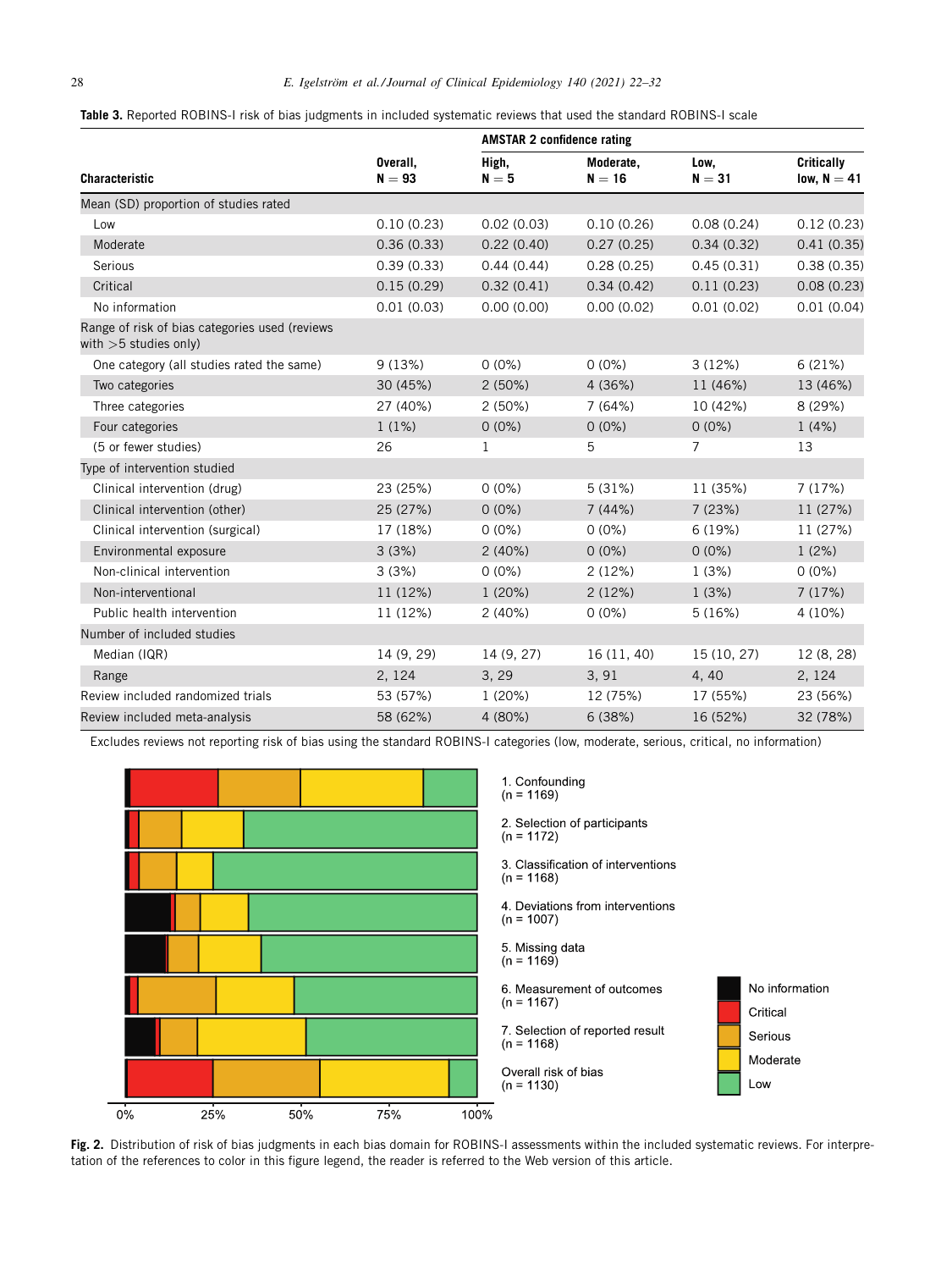<span id="page-6-0"></span>

|  | Table 3. Reported ROBINS-I risk of bias judgments in included systematic reviews that used the standard ROBINS-I scale |
|--|------------------------------------------------------------------------------------------------------------------------|
|  |                                                                                                                        |

|                                                                           |                      | <b>AMSTAR 2 confidence rating</b> |                       |                  |                                    |  |  |
|---------------------------------------------------------------------------|----------------------|-----------------------------------|-----------------------|------------------|------------------------------------|--|--|
| <b>Characteristic</b>                                                     | Overall,<br>$N = 93$ | High,<br>$N = 5$                  | Moderate,<br>$N = 16$ | Low,<br>$N = 31$ | <b>Critically</b><br>low, $N = 41$ |  |  |
| Mean (SD) proportion of studies rated                                     |                      |                                   |                       |                  |                                    |  |  |
| Low                                                                       | 0.10(0.23)           | 0.02(0.03)                        | 0.10(0.26)            | 0.08(0.24)       | 0.12(0.23)                         |  |  |
| Moderate                                                                  | 0.36(0.33)           | 0.22(0.40)                        | 0.27(0.25)            | 0.34(0.32)       | 0.41(0.35)                         |  |  |
| Serious                                                                   | 0.39(0.33)           | 0.44(0.44)                        | 0.28(0.25)            | 0.45(0.31)       | 0.38(0.35)                         |  |  |
| Critical                                                                  | 0.15(0.29)           | 0.32(0.41)                        | 0.34(0.42)            | 0.11(0.23)       | 0.08(0.23)                         |  |  |
| No information                                                            | 0.01(0.03)           | 0.00(0.00)                        | 0.00(0.02)            | 0.01(0.02)       | 0.01(0.04)                         |  |  |
| Range of risk of bias categories used (reviews<br>with $>5$ studies only) |                      |                                   |                       |                  |                                    |  |  |
| One category (all studies rated the same)                                 | 9(13%)               | $0(0\%)$                          | $0(0\%)$              | 3(12%)           | 6(21%)                             |  |  |
| Two categories                                                            | 30 (45%)             | 2(50%)                            | 4 (36%)               | 11 (46%)         | 13 (46%)                           |  |  |
| Three categories                                                          | 27 (40%)             | 2(50%)                            | 7(64%)                | 10 (42%)         | 8 (29%)                            |  |  |
| Four categories                                                           | 1(1%)                | $0(0\%)$                          | $0(0\%)$              | $0(0\%)$         | 1(4%)                              |  |  |
| (5 or fewer studies)                                                      | 26                   | $\mathbf 1$                       | 5                     | $\overline{7}$   | 13                                 |  |  |
| Type of intervention studied                                              |                      |                                   |                       |                  |                                    |  |  |
| Clinical intervention (drug)                                              | 23 (25%)             | $0(0\%)$                          | 5(31%)                | 11 (35%)         | 7(17%)                             |  |  |
| Clinical intervention (other)                                             | 25 (27%)             | $0(0\%)$                          | 7(44%)                | 7(23%)           | 11 (27%)                           |  |  |
| Clinical intervention (surgical)                                          | 17 (18%)             | $0(0\%)$                          | $0(0\%)$              | 6(19%)           | 11 (27%)                           |  |  |
| Environmental exposure                                                    | 3(3%)                | 2(40%)                            | $0(0\%)$              | $0(0\%)$         | 1(2%)                              |  |  |
| Non-clinical intervention                                                 | 3(3%)                | $0(0\%)$                          | 2(12%)                | 1(3%)            | $0(0\%)$                           |  |  |
| Non-interventional                                                        | 11 (12%)             | 1(20%)                            | 2(12%)                | 1(3%)            | 7(17%)                             |  |  |
| Public health intervention                                                | 11 (12%)             | 2(40%)                            | $0(0\%)$              | 5(16%)           | 4 (10%)                            |  |  |
| Number of included studies                                                |                      |                                   |                       |                  |                                    |  |  |
| Median (IQR)                                                              | 14 (9, 29)           | 14 (9, 27)                        | 16 (11, 40)           | 15 (10, 27)      | 12 (8, 28)                         |  |  |
| Range                                                                     | 2, 124               | 3, 29                             | 3, 91                 | 4,40             | 2, 124                             |  |  |
| Review included randomized trials                                         | 53 (57%)             | 1(20%)                            | 12 (75%)              | 17 (55%)         | 23 (56%)                           |  |  |
| Review included meta-analysis                                             | 58 (62%)             | 4 (80%)                           | 6(38%)                | 16 (52%)         | 32 (78%)                           |  |  |

Excludes reviews not reporting risk of bias using the standard ROBINS-I categories (low, moderate, serious, critical, no information)



**Fig. 2.** Distribution of risk of bias judgments in each bias domain for ROBINS-I assessments within the included systematic reviews. For interpretation of the references to color in this figure legend, the reader is referred to the Web version of this article.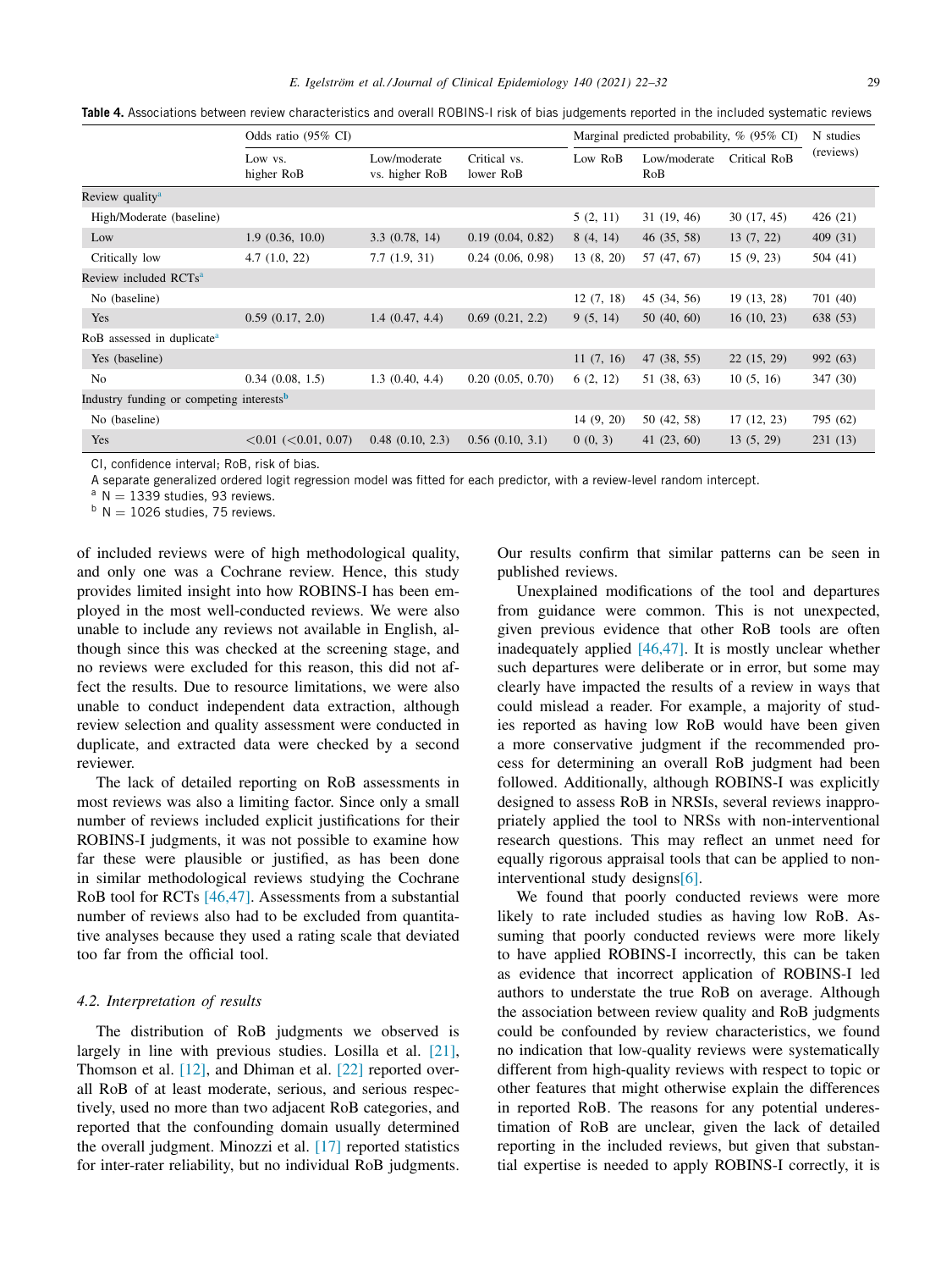<span id="page-7-0"></span>**Table 4.** Associations between review characteristics and overall ROBINS-I risk of bias judgements reported in the included systematic reviews

|                                                      | Odds ratio (95% CI)               |                                |                           | Marginal predicted probability, % (95% CI) |                     |              | N studies |
|------------------------------------------------------|-----------------------------------|--------------------------------|---------------------------|--------------------------------------------|---------------------|--------------|-----------|
|                                                      | Low vs.<br>higher RoB             | Low/moderate<br>vs. higher RoB | Critical vs.<br>lower RoB | Low RoB                                    | Low/moderate<br>RoB | Critical RoB | (reviews) |
| Review quality <sup>a</sup>                          |                                   |                                |                           |                                            |                     |              |           |
| High/Moderate (baseline)                             |                                   |                                |                           | 5(2, 11)                                   | 31(19, 46)          | 30(17, 45)   | 426 (21)  |
| Low                                                  | 1.9(0.36, 10.0)                   | 3.3(0.78, 14)                  | 0.19(0.04, 0.82)          | 8(4, 14)                                   | 46(35, 58)          | 13(7, 22)    | 409 (31)  |
| Critically low                                       | 4.7(1.0, 22)                      | 7.7(1.9, 31)                   | 0.24(0.06, 0.98)          | 13(8, 20)                                  | 57 (47, 67)         | 15(9, 23)    | 504 (41)  |
| Review included RCTs <sup>a</sup>                    |                                   |                                |                           |                                            |                     |              |           |
| No (baseline)                                        |                                   |                                |                           | 12(7, 18)                                  | 45 (34, 56)         | 19 (13, 28)  | 701 (40)  |
| Yes                                                  | 0.59(0.17, 2.0)                   | 1.4(0.47, 4.4)                 | 0.69(0.21, 2.2)           | 9(5, 14)                                   | 50(40, 60)          | 16(10, 23)   | 638 (53)  |
| RoB assessed in duplicate <sup>a</sup>               |                                   |                                |                           |                                            |                     |              |           |
| Yes (baseline)                                       |                                   |                                |                           | 11(7, 16)                                  | 47 (38, 55)         | 22(15, 29)   | 992 (63)  |
| N <sub>o</sub>                                       | 0.34(0.08, 1.5)                   | 1.3(0.40, 4.4)                 | 0.20(0.05, 0.70)          | 6(2, 12)                                   | 51 (38, 63)         | 10(5, 16)    | 347 (30)  |
| Industry funding or competing interests <sup>b</sup> |                                   |                                |                           |                                            |                     |              |           |
| No (baseline)                                        |                                   |                                |                           | 14(9, 20)                                  | 50 (42, 58)         | 17(12, 23)   | 795 (62)  |
| Yes                                                  | $\leq 0.01$ ( $\leq 0.01$ , 0.07) | $0.48$ $(0.10, 2.3)$           | 0.56(0.10, 3.1)           | 0(0, 3)                                    | 41(23, 60)          | 13(5, 29)    | 231(13)   |

CI, confidence interval; RoB, risk of bias.

A separate generalized ordered logit regression model was fitted for each predictor, with a review-level random intercept.

 $a \text{ N} = 1339$  studies, 93 reviews.

 $b$  N = 1026 studies, 75 reviews.

of included reviews were of high methodological quality, and only one was a Cochrane review. Hence, this study provides limited insight into how ROBINS-I has been employed in the most well-conducted reviews. We were also unable to include any reviews not available in English, although since this was checked at the screening stage, and no reviews were excluded for this reason, this did not affect the results. Due to resource limitations, we were also unable to conduct independent data extraction, although review selection and quality assessment were conducted in duplicate, and extracted data were checked by a second reviewer.

The lack of detailed reporting on RoB assessments in most reviews was also a limiting factor. Since only a small number of reviews included explicit justifications for their ROBINS-I judgments, it was not possible to examine how far these were plausible or justified, as has been done in similar methodological reviews studying the Cochrane RoB tool for RCTs [\[46,47\].](#page-9-0) Assessments from a substantial number of reviews also had to be excluded from quantitative analyses because they used a rating scale that deviated too far from the official tool.

#### *4.2. Interpretation of results*

The distribution of RoB judgments we observed is largely in line with previous studies. Losilla et al. [\[21\],](#page-9-0) Thomson et al. [\[12\],](#page-8-0) and Dhiman et al. [\[22\]](#page-9-0) reported overall RoB of at least moderate, serious, and serious respectively, used no more than two adjacent RoB categories, and reported that the confounding domain usually determined the overall judgment. Minozzi et al. [\[17\]](#page-9-0) reported statistics for inter-rater reliability, but no individual RoB judgments. Our results confirm that similar patterns can be seen in published reviews.

Unexplained modifications of the tool and departures from guidance were common. This is not unexpected, given previous evidence that other RoB tools are often inadequately applied [\[46,47\].](#page-9-0) It is mostly unclear whether such departures were deliberate or in error, but some may clearly have impacted the results of a review in ways that could mislead a reader. For example, a majority of studies reported as having low RoB would have been given a more conservative judgment if the recommended process for determining an overall RoB judgment had been followed. Additionally, although ROBINS-I was explicitly designed to assess RoB in NRSIs, several reviews inappropriately applied the tool to NRSs with non-interventional research questions. This may reflect an unmet need for equally rigorous appraisal tools that can be applied to noninterventional study design[s\[6\].](#page-8-0)

We found that poorly conducted reviews were more likely to rate included studies as having low RoB. Assuming that poorly conducted reviews were more likely to have applied ROBINS-I incorrectly, this can be taken as evidence that incorrect application of ROBINS-I led authors to understate the true RoB on average. Although the association between review quality and RoB judgments could be confounded by review characteristics, we found no indication that low-quality reviews were systematically different from high-quality reviews with respect to topic or other features that might otherwise explain the differences in reported RoB. The reasons for any potential underestimation of RoB are unclear, given the lack of detailed reporting in the included reviews, but given that substantial expertise is needed to apply ROBINS-I correctly, it is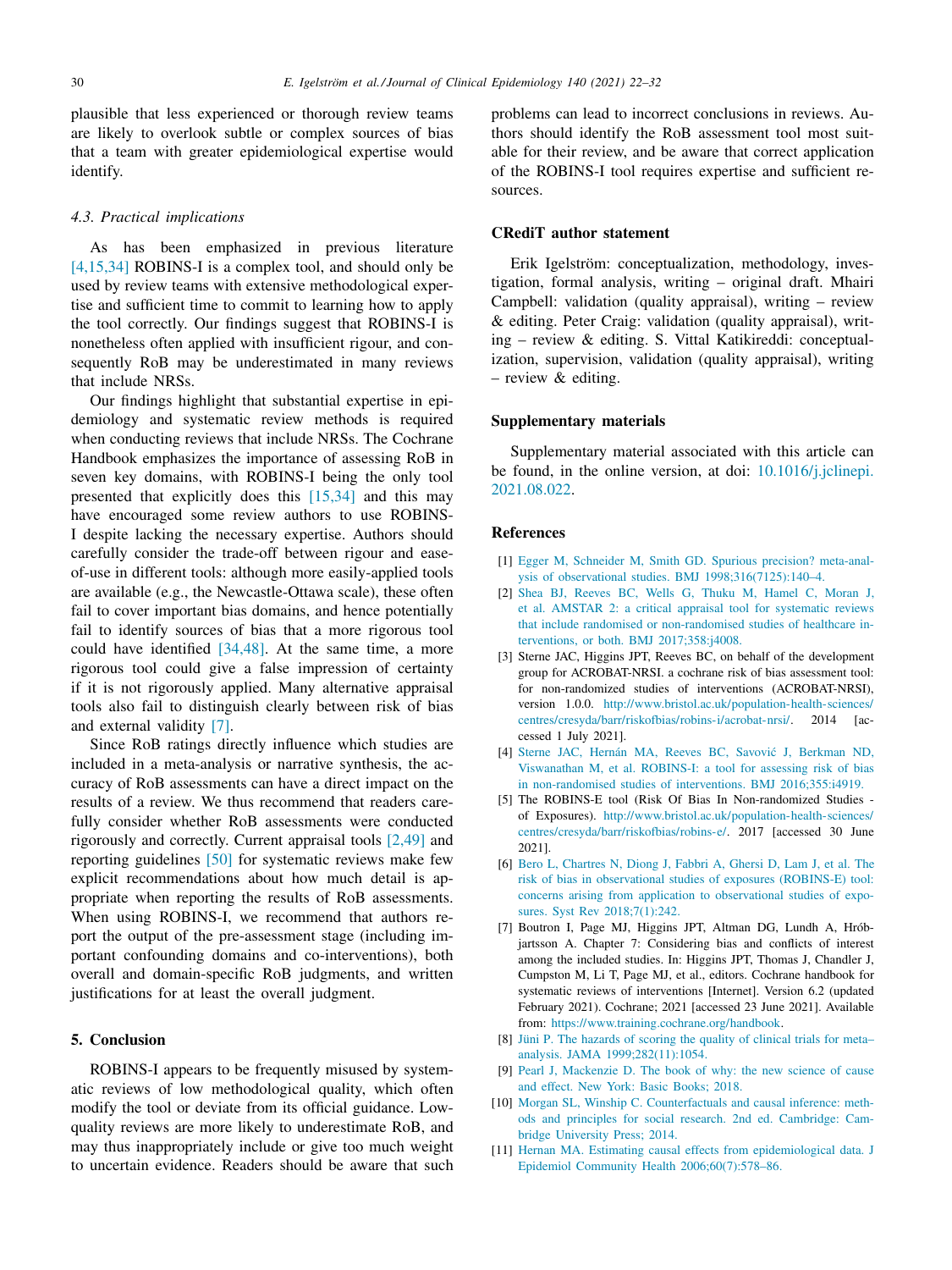<span id="page-8-0"></span>plausible that less experienced or thorough review teams are likely to overlook subtle or complex sources of bias that a team with greater epidemiological expertise would identify.

#### *4.3. Practical implications*

As has been emphasized in previous literature [4,15,34] ROBINS-I is a complex tool, and should only be used by review teams with extensive methodological expertise and sufficient time to commit to learning how to apply the tool correctly. Our findings suggest that ROBINS-I is nonetheless often applied with insufficient rigour, and consequently RoB may be underestimated in many reviews that include NRSs.

Our findings highlight that substantial expertise in epidemiology and systematic review methods is required when conducting reviews that include NRSs. The Cochrane Handbook emphasizes the importance of assessing RoB in seven key domains, with ROBINS-I being the only tool presented that explicitly does this [\[15,34\]](#page-9-0) and this may have encouraged some review authors to use ROBINS-I despite lacking the necessary expertise. Authors should carefully consider the trade-off between rigour and easeof-use in different tools: although more easily-applied tools are available (e.g., the Newcastle-Ottawa scale), these often fail to cover important bias domains, and hence potentially fail to identify sources of bias that a more rigorous tool could have identified [\[34,48\].](#page-9-0) At the same time, a more rigorous tool could give a false impression of certainty if it is not rigorously applied. Many alternative appraisal tools also fail to distinguish clearly between risk of bias and external validity [7].

Since RoB ratings directly influence which studies are included in a meta-analysis or narrative synthesis, the accuracy of RoB assessments can have a direct impact on the results of a review. We thus recommend that readers carefully consider whether RoB assessments were conducted rigorously and correctly. Current appraisal tools [2,49] and reporting guidelines [\[50\]](#page-10-0) for systematic reviews make few explicit recommendations about how much detail is appropriate when reporting the results of RoB assessments. When using ROBINS-I, we recommend that authors report the output of the pre-assessment stage (including important confounding domains and co-interventions), both overall and domain-specific RoB judgments, and written justifications for at least the overall judgment.

#### **5. Conclusion**

ROBINS-I appears to be frequently misused by systematic reviews of low methodological quality, which often modify the tool or deviate from its official guidance. Lowquality reviews are more likely to underestimate RoB, and may thus inappropriately include or give too much weight to uncertain evidence. Readers should be aware that such problems can lead to incorrect conclusions in reviews. Authors should identify the RoB assessment tool most suitable for their review, and be aware that correct application of the ROBINS-I tool requires expertise and sufficient resources.

#### **CRediT author statement**

Erik Igelström: conceptualization, methodology, investigation, formal analysis, writing – original draft. Mhairi Campbell: validation (quality appraisal), writing – review & editing. Peter Craig: validation (quality appraisal), writing – review & editing. S. Vittal Katikireddi: conceptualization, supervision, validation (quality appraisal), writing – review & editing.

# **Supplementary materials**

Supplementary material associated with this article can be found, in the online version, at doi: [10.1016/j.jclinepi.](https://doi.org/10.1016/j.jclinepi.2021.08.022) 2021.08.022.

# **References**

- [1] [Egger](http://refhub.elsevier.com/S0895-4356(21)00267-5/sbref0001) M, [Schneider](http://refhub.elsevier.com/S0895-4356(21)00267-5/sbref0001) M, [Smith](http://refhub.elsevier.com/S0895-4356(21)00267-5/sbref0001) GD. Spurious precision? meta-analysis of observational studies. BMJ [1998;316\(7125\):140–4.](http://refhub.elsevier.com/S0895-4356(21)00267-5/sbref0001)
- [2] [Shea](http://refhub.elsevier.com/S0895-4356(21)00267-5/sbref0002) BJ, [Reeves](http://refhub.elsevier.com/S0895-4356(21)00267-5/sbref0002) BC, [Wells](http://refhub.elsevier.com/S0895-4356(21)00267-5/sbref0002) G, [Thuku](http://refhub.elsevier.com/S0895-4356(21)00267-5/sbref0002) M, [Hamel](http://refhub.elsevier.com/S0895-4356(21)00267-5/sbref0002) C, [Moran](http://refhub.elsevier.com/S0895-4356(21)00267-5/sbref0002) J, et [al.](http://refhub.elsevier.com/S0895-4356(21)00267-5/sbref0002) AMSTAR 2: a critical appraisal tool for systematic reviews that include randomised or non-randomised studies of healthcare interventions, or both. BMJ [2017;358:j4008.](http://refhub.elsevier.com/S0895-4356(21)00267-5/sbref0002)
- [3] Sterne JAC, Higgins JPT, Reeves BC, on behalf of the development group for ACROBAT-NRSI. a cochrane risk of bias assessment tool: for non-randomized studies of interventions (ACROBAT-NRSI), version 1.0.0. http://www.bristol.ac.uk/population-health-sciences/ [centres/cresyda/barr/riskofbias/robins-i/acrobat-nrsi/.](http://www.bristol.ac.uk/population-health-sciences/centres/cresyda/barr/riskofbias/robins-i/acrobat-nrsi/) 2014 [accessed 1 July 2021].
- [4] [Sterne](http://refhub.elsevier.com/S0895-4356(21)00267-5/sbref0004) JAC, [Hernán](http://refhub.elsevier.com/S0895-4356(21)00267-5/sbref0004) MA, [Reeves](http://refhub.elsevier.com/S0895-4356(21)00267-5/sbref0004) BC, Savović J, [Berkman ND,](http://refhub.elsevier.com/S0895-4356(21)00267-5/sbref0004) [Viswanathan](http://refhub.elsevier.com/S0895-4356(21)00267-5/sbref0004) M, et [al.](http://refhub.elsevier.com/S0895-4356(21)00267-5/sbref0004) ROBINS-I: a tool for assessing risk of bias in non-randomised studies of interventions. BMJ [2016;355:i4919.](http://refhub.elsevier.com/S0895-4356(21)00267-5/sbref0004)
- [5] The ROBINS-E tool (Risk Of Bias In Non-randomized Studies of Exposures). [http://www.bristol.ac.uk/population-health-sciences/](http://www.bristol.ac.uk/population-health-sciences/centres/cresyda/barr/riskofbias/robins-e/) centres/cresyda/barr/riskofbias/robins-e/. 2017 [accessed 30 June 2021].
- [6] [Bero](http://refhub.elsevier.com/S0895-4356(21)00267-5/sbref0006) L, [Chartres](http://refhub.elsevier.com/S0895-4356(21)00267-5/sbref0006) N, [Diong](http://refhub.elsevier.com/S0895-4356(21)00267-5/sbref0006) J, [Fabbri](http://refhub.elsevier.com/S0895-4356(21)00267-5/sbref0006) A, [Ghersi](http://refhub.elsevier.com/S0895-4356(21)00267-5/sbref0006) D, [Lam](http://refhub.elsevier.com/S0895-4356(21)00267-5/sbref0006) J, et [al.](http://refhub.elsevier.com/S0895-4356(21)00267-5/sbref0006) The risk of bias in observational studies of exposures (ROBINS-E) tool: concerns arising from application to observational studies of exposures. Syst Rev [2018;7\(1\):242.](http://refhub.elsevier.com/S0895-4356(21)00267-5/sbref0006)
- [7] Boutron I, Page MJ, Higgins JPT, Altman DG, Lundh A, Hróbjartsson A. Chapter 7: Considering bias and conflicts of interest among the included studies. In: Higgins JPT, Thomas J, Chandler J, Cumpston M, Li T, Page MJ, et al., editors. Cochrane handbook for systematic reviews of interventions [Internet]. Version 6.2 (updated February 2021). Cochrane; 2021 [accessed 23 June 2021]. Available from: [https://www.training.cochrane.org/handbook.](https://www.training.cochrane.org/handbook)
- [8] [Jüni](http://refhub.elsevier.com/S0895-4356(21)00267-5/sbref0008) P. The hazards of scoring the quality of clinical trials for meta– analysis. JAMA [1999;282\(11\):1054.](http://refhub.elsevier.com/S0895-4356(21)00267-5/sbref0008)
- [9] [Pearl](http://refhub.elsevier.com/S0895-4356(21)00267-5/sbref0009) J, [Mackenzie](http://refhub.elsevier.com/S0895-4356(21)00267-5/sbref0009) D. The book of why: the new science of cause and effect. New York: Basic Books; 2018.
- [10] [Morgan](http://refhub.elsevier.com/S0895-4356(21)00267-5/sbref0010) SL, [Winship](http://refhub.elsevier.com/S0895-4356(21)00267-5/sbref0010) C. [Counterfactuals](http://refhub.elsevier.com/S0895-4356(21)00267-5/sbref0010) and causal inference: methods and principles for social research. 2nd ed. Cambridge: Cambridge University Press; 2014.
- [11] [Hernan](http://refhub.elsevier.com/S0895-4356(21)00267-5/sbref0011) MA. Estimating causal effects from epidemiological data. J Epidemiol Community Health [2006;60\(7\):578–86.](http://refhub.elsevier.com/S0895-4356(21)00267-5/sbref0011)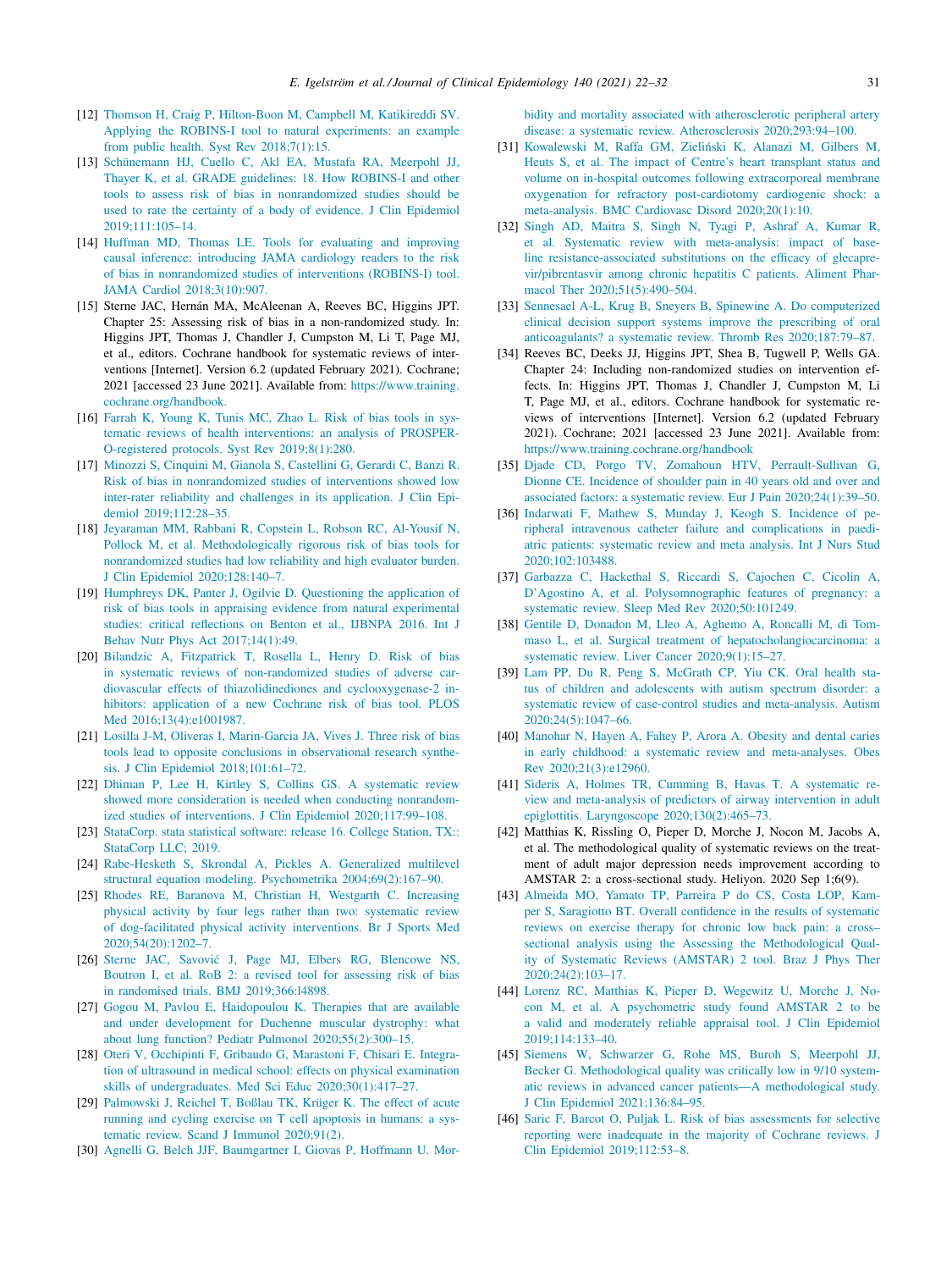- <span id="page-9-0"></span>[12] [Thomson](http://refhub.elsevier.com/S0895-4356(21)00267-5/sbref0012) H, [Craig](http://refhub.elsevier.com/S0895-4356(21)00267-5/sbref0012) P, [Hilton-Boon](http://refhub.elsevier.com/S0895-4356(21)00267-5/sbref0012) M, [Campbell](http://refhub.elsevier.com/S0895-4356(21)00267-5/sbref0012) M, [Katikireddi](http://refhub.elsevier.com/S0895-4356(21)00267-5/sbref0012) SV. Applying the ROBINS-I tool to natural experiments: an example from public health. Syst Rev [2018;7\(1\):15.](http://refhub.elsevier.com/S0895-4356(21)00267-5/sbref0012)
- [13] [Schünemann](http://refhub.elsevier.com/S0895-4356(21)00267-5/sbref0013) HJ, [Cuello](http://refhub.elsevier.com/S0895-4356(21)00267-5/sbref0013) C, [Akl](http://refhub.elsevier.com/S0895-4356(21)00267-5/sbref0013) EA, [Mustafa](http://refhub.elsevier.com/S0895-4356(21)00267-5/sbref0013) RA, [Meerpohl](http://refhub.elsevier.com/S0895-4356(21)00267-5/sbref0013) JJ, [Thayer](http://refhub.elsevier.com/S0895-4356(21)00267-5/sbref0013) K, et [al.](http://refhub.elsevier.com/S0895-4356(21)00267-5/sbref0013) GRADE guidelines: 18. How ROBINS-I and other tools to assess risk of bias in nonrandomized studies should be used to rate the certainty of a body of evidence. J Clin Epidemiol [2019;111:105–14.](http://refhub.elsevier.com/S0895-4356(21)00267-5/sbref0013)
- [14] [Huffman](http://refhub.elsevier.com/S0895-4356(21)00267-5/sbref0014) MD, [Thomas](http://refhub.elsevier.com/S0895-4356(21)00267-5/sbref0014) LE. Tools for evaluating and improving causal inference: introducing JAMA cardiology readers to the risk of bias in nonrandomized studies of interventions (ROBINS-I) tool. JAMA Cardiol [2018;3\(10\):907.](http://refhub.elsevier.com/S0895-4356(21)00267-5/sbref0014)
- [15] Sterne JAC, Hernán MA, McAleenan A, Reeves BC, Higgins JPT. Chapter 25: Assessing risk of bias in a non-randomized study. In: Higgins JPT, Thomas J, Chandler J, Cumpston M, Li T, Page MJ, et al., editors. Cochrane handbook for systematic reviews of interventions [Internet]. Version 6.2 (updated February 2021). Cochrane; 2021 [accessed 23 June 2021]. Available from: https://www.training. [cochrane.org/handbook.](https://www.training.cochrane.org/handbook)
- [16] [Farrah](http://refhub.elsevier.com/S0895-4356(21)00267-5/sbref0016) K, [Young](http://refhub.elsevier.com/S0895-4356(21)00267-5/sbref0016) K, [Tunis](http://refhub.elsevier.com/S0895-4356(21)00267-5/sbref0016) MC, [Zhao](http://refhub.elsevier.com/S0895-4356(21)00267-5/sbref0016) L. Risk of bias tools in systematic reviews of health interventions: an analysis of PROSPER-O-registered protocols. Syst Rev [2019;8\(1\):280.](http://refhub.elsevier.com/S0895-4356(21)00267-5/sbref0016)
- [17] [Minozzi](http://refhub.elsevier.com/S0895-4356(21)00267-5/sbref0017) S, [Cinquini](http://refhub.elsevier.com/S0895-4356(21)00267-5/sbref0017) M, [Gianola](http://refhub.elsevier.com/S0895-4356(21)00267-5/sbref0017) S, [Castellini](http://refhub.elsevier.com/S0895-4356(21)00267-5/sbref0017) G, [Gerardi](http://refhub.elsevier.com/S0895-4356(21)00267-5/sbref0017) C, [Banzi](http://refhub.elsevier.com/S0895-4356(21)00267-5/sbref0017) R. Risk of bias in nonrandomized studies of interventions showed low inter-rater reliability and challenges in its application. J Clin Epidemiol [2019;112:28–35.](http://refhub.elsevier.com/S0895-4356(21)00267-5/sbref0017)
- [18] [Jeyaraman](http://refhub.elsevier.com/S0895-4356(21)00267-5/sbref0018) MM, [Rabbani](http://refhub.elsevier.com/S0895-4356(21)00267-5/sbref0018) R, [Copstein](http://refhub.elsevier.com/S0895-4356(21)00267-5/sbref0018) L, [Robson](http://refhub.elsevier.com/S0895-4356(21)00267-5/sbref0018) RC, [Al-Yousif](http://refhub.elsevier.com/S0895-4356(21)00267-5/sbref0018) N, [Pollock](http://refhub.elsevier.com/S0895-4356(21)00267-5/sbref0018) M, et [al.](http://refhub.elsevier.com/S0895-4356(21)00267-5/sbref0018) [Methodologically](http://refhub.elsevier.com/S0895-4356(21)00267-5/sbref0018) rigorous risk of bias tools for nonrandomized studies had low reliability and high evaluator burden. J Clin Epidemiol 2020;128:140–7.
- [19] [Humphreys](http://refhub.elsevier.com/S0895-4356(21)00267-5/sbref0019) DK, [Panter](http://refhub.elsevier.com/S0895-4356(21)00267-5/sbref0019) J, [Ogilvie](http://refhub.elsevier.com/S0895-4356(21)00267-5/sbref0019) D. Questioning the application of risk of bias tools in appraising evidence from natural experimental studies: critical reflections on Benton et al., IJBNPA 2016. Int J Behav Nutr Phys Act [2017;14\(1\):49.](http://refhub.elsevier.com/S0895-4356(21)00267-5/sbref0019)
- [20] [Bilandzic](http://refhub.elsevier.com/S0895-4356(21)00267-5/sbref0020) A, [Fitzpatrick](http://refhub.elsevier.com/S0895-4356(21)00267-5/sbref0020) T, [Rosella](http://refhub.elsevier.com/S0895-4356(21)00267-5/sbref0020) L, [Henry](http://refhub.elsevier.com/S0895-4356(21)00267-5/sbref0020) D. Risk of bias in systematic reviews of non-randomized studies of adverse cardiovascular effects of thiazolidinediones and cyclooxygenase-2 inhibitors: application of a new Cochrane risk of bias tool. PLOS Med [2016;13\(4\):e1001987.](http://refhub.elsevier.com/S0895-4356(21)00267-5/sbref0020)
- [21] [Losilla](http://refhub.elsevier.com/S0895-4356(21)00267-5/sbref0021) J-M, [Oliveras](http://refhub.elsevier.com/S0895-4356(21)00267-5/sbref0021) I, [Marin-Garcia](http://refhub.elsevier.com/S0895-4356(21)00267-5/sbref0021) JA, [Vives](http://refhub.elsevier.com/S0895-4356(21)00267-5/sbref0021) J. Three risk of bias tools lead to opposite conclusions in observational research synthesis. J Clin Epidemiol [2018;101:61–72.](http://refhub.elsevier.com/S0895-4356(21)00267-5/sbref0021)
- [22] [Dhiman](http://refhub.elsevier.com/S0895-4356(21)00267-5/sbref0022) P, [Lee](http://refhub.elsevier.com/S0895-4356(21)00267-5/sbref0022) H, [Kirtley](http://refhub.elsevier.com/S0895-4356(21)00267-5/sbref0022) S, [Collins](http://refhub.elsevier.com/S0895-4356(21)00267-5/sbref0022) GS. A systematic review showed more consideration is needed when conducting nonrandomized studies of interventions. J Clin Epidemiol [2020;117:99–108.](http://refhub.elsevier.com/S0895-4356(21)00267-5/sbref0022)
- [23] [StataCorp.](http://refhub.elsevier.com/S0895-4356(21)00267-5/sbref0023) stata statistical software: release 16. College Station, TX:: StataCorp LLC; 2019.
- [24] [Rabe-Hesketh](http://refhub.elsevier.com/S0895-4356(21)00267-5/sbref0024) S, [Skrondal](http://refhub.elsevier.com/S0895-4356(21)00267-5/sbref0024) A, [Pickles](http://refhub.elsevier.com/S0895-4356(21)00267-5/sbref0024) A. Generalized multilevel structural equation modeling. Psychometrika [2004;69\(2\):167–90.](http://refhub.elsevier.com/S0895-4356(21)00267-5/sbref0024)
- [25] [Rhodes](http://refhub.elsevier.com/S0895-4356(21)00267-5/sbref0025) RE, [Baranova](http://refhub.elsevier.com/S0895-4356(21)00267-5/sbref0025) M, [Christian](http://refhub.elsevier.com/S0895-4356(21)00267-5/sbref0025) H, [Westgarth](http://refhub.elsevier.com/S0895-4356(21)00267-5/sbref0025) C. Increasing physical activity by four legs rather than two: systematic review of dog-facilitated physical activity interventions. Br J Sports Med [2020;54\(20\):1202–7.](http://refhub.elsevier.com/S0895-4356(21)00267-5/sbref0025)
- [26] [Sterne](http://refhub.elsevier.com/S0895-4356(21)00267-5/sbref0026) JAC, Savović J, [Page](http://refhub.elsevier.com/S0895-4356(21)00267-5/sbref0026) MJ, [Elbers](http://refhub.elsevier.com/S0895-4356(21)00267-5/sbref0026) RG, [Blencowe](http://refhub.elsevier.com/S0895-4356(21)00267-5/sbref0026) NS, [Boutron](http://refhub.elsevier.com/S0895-4356(21)00267-5/sbref0026) I, et [al.](http://refhub.elsevier.com/S0895-4356(21)00267-5/sbref0026) RoB 2: a revised tool for assessing risk of bias in randomised trials. BMJ [2019;366:l4898.](http://refhub.elsevier.com/S0895-4356(21)00267-5/sbref0026)
- [27] [Gogou](http://refhub.elsevier.com/S0895-4356(21)00267-5/sbref0027) M, [Pavlou](http://refhub.elsevier.com/S0895-4356(21)00267-5/sbref0027) E, [Haidopoulou](http://refhub.elsevier.com/S0895-4356(21)00267-5/sbref0027) K. Therapies that are available and under development for Duchenne muscular dystrophy: what about lung function? Pediatr Pulmonol [2020;55\(2\):300–15.](http://refhub.elsevier.com/S0895-4356(21)00267-5/sbref0027)
- [28] [Oteri](http://refhub.elsevier.com/S0895-4356(21)00267-5/sbref0028) V, [Occhipinti](http://refhub.elsevier.com/S0895-4356(21)00267-5/sbref0028) F, [Gribaudo](http://refhub.elsevier.com/S0895-4356(21)00267-5/sbref0028) G, [Marastoni](http://refhub.elsevier.com/S0895-4356(21)00267-5/sbref0028) F, [Chisari](http://refhub.elsevier.com/S0895-4356(21)00267-5/sbref0028) E. Integration of ultrasound in medical school: effects on physical examination skills of undergraduates. Med Sci Educ [2020;30\(1\):417–27.](http://refhub.elsevier.com/S0895-4356(21)00267-5/sbref0028)
- [29] [Palmowski](http://refhub.elsevier.com/S0895-4356(21)00267-5/sbref0029) J, [Reichel](http://refhub.elsevier.com/S0895-4356(21)00267-5/sbref0029) T, [Boßlau](http://refhub.elsevier.com/S0895-4356(21)00267-5/sbref0029) TK, [Krüger](http://refhub.elsevier.com/S0895-4356(21)00267-5/sbref0029) K. The effect of acute running and cycling exercise on T cell apoptosis in humans: a systematic review. Scand J Immunol [2020;91\(2\).](http://refhub.elsevier.com/S0895-4356(21)00267-5/sbref0029)
- [30] [Agnelli](http://refhub.elsevier.com/S0895-4356(21)00267-5/sbref0030) G, [Belch](http://refhub.elsevier.com/S0895-4356(21)00267-5/sbref0030) JJF, [Baumgartner](http://refhub.elsevier.com/S0895-4356(21)00267-5/sbref0030) I, [Giovas](http://refhub.elsevier.com/S0895-4356(21)00267-5/sbref0030) P, [Hoffmann](http://refhub.elsevier.com/S0895-4356(21)00267-5/sbref0030) U. [Mor-](http://refhub.elsevier.com/S0895-4356(21)00267-5/sbref0030)

bidity and mortality associated with atherosclerotic peripheral artery disease: a systematic review. Atherosclerosis [2020;293:94–100.](http://refhub.elsevier.com/S0895-4356(21)00267-5/sbref0030)

- [31] [Kowalewski](http://refhub.elsevier.com/S0895-4356(21)00267-5/sbref0031) M, [Raffa](http://refhub.elsevier.com/S0895-4356(21)00267-5/sbref0031) GM, Zieliński K, [Alanazi](http://refhub.elsevier.com/S0895-4356(21)00267-5/sbref0031) M, [Gilbers](http://refhub.elsevier.com/S0895-4356(21)00267-5/sbref0031) M, [Heuts](http://refhub.elsevier.com/S0895-4356(21)00267-5/sbref0031) S, et [al.](http://refhub.elsevier.com/S0895-4356(21)00267-5/sbref0031) The impact of Centre's heart transplant status and volume on in-hospital outcomes following extracorporeal membrane oxygenation for refractory [post-cardiotomy](http://refhub.elsevier.com/S0895-4356(21)00267-5/sbref0031) cardiogenic shock: a meta-analysis. BMC Cardiovasc Disord 2020;20(1):10.
- [32] [Singh](http://refhub.elsevier.com/S0895-4356(21)00267-5/sbref0032) AD, [Maitra](http://refhub.elsevier.com/S0895-4356(21)00267-5/sbref0032) S, [Singh](http://refhub.elsevier.com/S0895-4356(21)00267-5/sbref0032) N, [Tyagi](http://refhub.elsevier.com/S0895-4356(21)00267-5/sbref0032) P, [Ashraf](http://refhub.elsevier.com/S0895-4356(21)00267-5/sbref0032) A, [Kumar](http://refhub.elsevier.com/S0895-4356(21)00267-5/sbref0032) R, et [al.](http://refhub.elsevier.com/S0895-4356(21)00267-5/sbref0032) Systematic review with meta-analysis: impact of baseline resistance-associated substitutions on the efficacy of glecaprevir/pibrentasvir among chronic hepatitis C patients. Aliment Pharmacol Ther [2020;51\(5\):490–504.](http://refhub.elsevier.com/S0895-4356(21)00267-5/sbref0032)
- [33] [Sennesael](http://refhub.elsevier.com/S0895-4356(21)00267-5/sbref0033) A-L, [Krug](http://refhub.elsevier.com/S0895-4356(21)00267-5/sbref0033) B, [Sneyers](http://refhub.elsevier.com/S0895-4356(21)00267-5/sbref0033) B, [Spinewine](http://refhub.elsevier.com/S0895-4356(21)00267-5/sbref0033) A. Do computerized clinical decision support systems improve the prescribing of oral anticoagulants? a systematic review. Thromb Res [2020;187:79–87.](http://refhub.elsevier.com/S0895-4356(21)00267-5/sbref0033)
- [34] Reeves BC, Deeks JJ, Higgins JPT, Shea B, Tugwell P, Wells GA. Chapter 24: Including non-randomized studies on intervention effects. In: Higgins JPT, Thomas J, Chandler J, Cumpston M, Li T, Page MJ, et al., editors. Cochrane handbook for systematic reviews of interventions [Internet]. Version 6.2 (updated February 2021). Cochrane; 2021 [accessed 23 June 2021]. Available from: <https://www.training.cochrane.org/handbook>
- [35] [Djade](http://refhub.elsevier.com/S0895-4356(21)00267-5/sbref0035) CD, [Porgo](http://refhub.elsevier.com/S0895-4356(21)00267-5/sbref0035) TV, [Zomahoun](http://refhub.elsevier.com/S0895-4356(21)00267-5/sbref0035) HTV, [Perrault-Sullivan](http://refhub.elsevier.com/S0895-4356(21)00267-5/sbref0035) G, [Dionne](http://refhub.elsevier.com/S0895-4356(21)00267-5/sbref0035) CE. Incidence of shoulder pain in 40 years old and over and associated factors: a systematic review. Eur J Pain [2020;24\(1\):39–50.](http://refhub.elsevier.com/S0895-4356(21)00267-5/sbref0035)
- [36] [Indarwati](http://refhub.elsevier.com/S0895-4356(21)00267-5/sbref0036) F, [Mathew](http://refhub.elsevier.com/S0895-4356(21)00267-5/sbref0036) S, [Munday](http://refhub.elsevier.com/S0895-4356(21)00267-5/sbref0036) J, [Keogh](http://refhub.elsevier.com/S0895-4356(21)00267-5/sbref0036) S, Incidence of peripheral intravenous catheter failure and complications in paediatric patients: systematic review and meta analysis. Int J Nurs Stud [2020;102:103488.](http://refhub.elsevier.com/S0895-4356(21)00267-5/sbref0036)
- [37] [Garbazza](http://refhub.elsevier.com/S0895-4356(21)00267-5/sbref0037) C, [Hackethal](http://refhub.elsevier.com/S0895-4356(21)00267-5/sbref0037) S, [Riccardi](http://refhub.elsevier.com/S0895-4356(21)00267-5/sbref0037) S, [Cajochen](http://refhub.elsevier.com/S0895-4356(21)00267-5/sbref0037) C, [Cicolin](http://refhub.elsevier.com/S0895-4356(21)00267-5/sbref0037) A, [D'Agostino](http://refhub.elsevier.com/S0895-4356(21)00267-5/sbref0037) A, et [al.](http://refhub.elsevier.com/S0895-4356(21)00267-5/sbref0037) [Polysomnographic](http://refhub.elsevier.com/S0895-4356(21)00267-5/sbref0037) features of pregnancy: a systematic review. Sleep Med Rev 2020;50:101249.
- [38] [Gentile](http://refhub.elsevier.com/S0895-4356(21)00267-5/sbref0038) D, [Donadon](http://refhub.elsevier.com/S0895-4356(21)00267-5/sbref0038) M, [Lleo](http://refhub.elsevier.com/S0895-4356(21)00267-5/sbref0038) A, [Aghemo](http://refhub.elsevier.com/S0895-4356(21)00267-5/sbref0038) A, [Roncalli](http://refhub.elsevier.com/S0895-4356(21)00267-5/sbref0038) M, di Tommaso L, et [al.](http://refhub.elsevier.com/S0895-4356(21)00267-5/sbref0038) Surgical treatment of [hepatocholangiocarcinoma:](http://refhub.elsevier.com/S0895-4356(21)00267-5/sbref0038) a systematic review. Liver Cancer 2020;9(1):15–27.
- [39] [Lam](http://refhub.elsevier.com/S0895-4356(21)00267-5/sbref0039) PP, [Du](http://refhub.elsevier.com/S0895-4356(21)00267-5/sbref0039) R, [Peng](http://refhub.elsevier.com/S0895-4356(21)00267-5/sbref0039) S, [McGrath](http://refhub.elsevier.com/S0895-4356(21)00267-5/sbref0039) CP, Yiu [CK.](http://refhub.elsevier.com/S0895-4356(21)00267-5/sbref0039) Oral health status of children and adolescents with autism spectrum disorder: a systematic review of case-control studies and meta-analysis. Autism [2020;24\(5\):1047–66.](http://refhub.elsevier.com/S0895-4356(21)00267-5/sbref0039)
- [40] [Manohar](http://refhub.elsevier.com/S0895-4356(21)00267-5/sbref0040) N, [Hayen](http://refhub.elsevier.com/S0895-4356(21)00267-5/sbref0040) A, [Fahey](http://refhub.elsevier.com/S0895-4356(21)00267-5/sbref0040) P, [Arora](http://refhub.elsevier.com/S0895-4356(21)00267-5/sbref0040) A. Obesity and dental caries in early childhood: a systematic review and meta-analyses. Obes Rev [2020;21\(3\):e12960.](http://refhub.elsevier.com/S0895-4356(21)00267-5/sbref0040)
- [41] [Sideris](http://refhub.elsevier.com/S0895-4356(21)00267-5/sbref0041) A, [Holmes](http://refhub.elsevier.com/S0895-4356(21)00267-5/sbref0041) TR, [Cumming](http://refhub.elsevier.com/S0895-4356(21)00267-5/sbref0041) B, [Havas](http://refhub.elsevier.com/S0895-4356(21)00267-5/sbref0041) T. A systematic review and meta-analysis of predictors of airway intervention in adult epiglottitis. Laryngoscope [2020;130\(2\):465–73.](http://refhub.elsevier.com/S0895-4356(21)00267-5/sbref0041)
- [42] Matthias K, Rissling O, Pieper D, Morche J, Nocon M, Jacobs A, et al. The methodological quality of systematic reviews on the treatment of adult major depression needs improvement according to AMSTAR 2: a cross-sectional study. Heliyon. 2020 Sep 1;6(9).
- [43] [Almeida](http://refhub.elsevier.com/S0895-4356(21)00267-5/sbref0043) MO, [Yamato](http://refhub.elsevier.com/S0895-4356(21)00267-5/sbref0043) TP, [Parreira](http://refhub.elsevier.com/S0895-4356(21)00267-5/sbref0043) P do CS, [Costa](http://refhub.elsevier.com/S0895-4356(21)00267-5/sbref0043) LOP, Kamper S, [Saragiotto](http://refhub.elsevier.com/S0895-4356(21)00267-5/sbref0043) BT. Overall [confidence](http://refhub.elsevier.com/S0895-4356(21)00267-5/sbref0043) in the results of systematic reviews on exercise therapy for chronic low back pain: a cross– sectional analysis using the Assessing the Methodological Quality of Systematic Reviews (AMSTAR) 2 tool. Braz J Phys Ther [2020;24\(2\):103–17.](http://refhub.elsevier.com/S0895-4356(21)00267-5/sbref0043)
- [44] [Lorenz](http://refhub.elsevier.com/S0895-4356(21)00267-5/sbref0044) RC, [Matthias](http://refhub.elsevier.com/S0895-4356(21)00267-5/sbref0044) K, [Pieper](http://refhub.elsevier.com/S0895-4356(21)00267-5/sbref0044) D, [Wegewitz](http://refhub.elsevier.com/S0895-4356(21)00267-5/sbref0044) U, [Morche](http://refhub.elsevier.com/S0895-4356(21)00267-5/sbref0044) J, Nocon M, et [al.](http://refhub.elsevier.com/S0895-4356(21)00267-5/sbref0044) A [psychometric](http://refhub.elsevier.com/S0895-4356(21)00267-5/sbref0044) study found AMSTAR 2 to be a valid and moderately reliable appraisal tool. J Clin Epidemiol [2019;114:133–40.](http://refhub.elsevier.com/S0895-4356(21)00267-5/sbref0044)
- [45] [Siemens](http://refhub.elsevier.com/S0895-4356(21)00267-5/sbref0045) W, [Schwarzer](http://refhub.elsevier.com/S0895-4356(21)00267-5/sbref0045) G, [Rohe](http://refhub.elsevier.com/S0895-4356(21)00267-5/sbref0045) MS, [Buroh](http://refhub.elsevier.com/S0895-4356(21)00267-5/sbref0045) S, [Meerpohl](http://refhub.elsevier.com/S0895-4356(21)00267-5/sbref0045) JJ, [Becker](http://refhub.elsevier.com/S0895-4356(21)00267-5/sbref0045) G. Methodological quality was critically low in 9/10 systematic reviews in advanced cancer patients—A methodological study. J Clin Epidemiol [2021;136:84–95.](http://refhub.elsevier.com/S0895-4356(21)00267-5/sbref0045)
- [46] [Saric](http://refhub.elsevier.com/S0895-4356(21)00267-5/sbref0046) F, [Barcot](http://refhub.elsevier.com/S0895-4356(21)00267-5/sbref0046) O, [Puljak](http://refhub.elsevier.com/S0895-4356(21)00267-5/sbref0046) L. Risk of bias assessments for selective reporting were inadequate in the majority of Cochrane reviews. J Clin Epidemiol [2019;112:53–8.](http://refhub.elsevier.com/S0895-4356(21)00267-5/sbref0046)